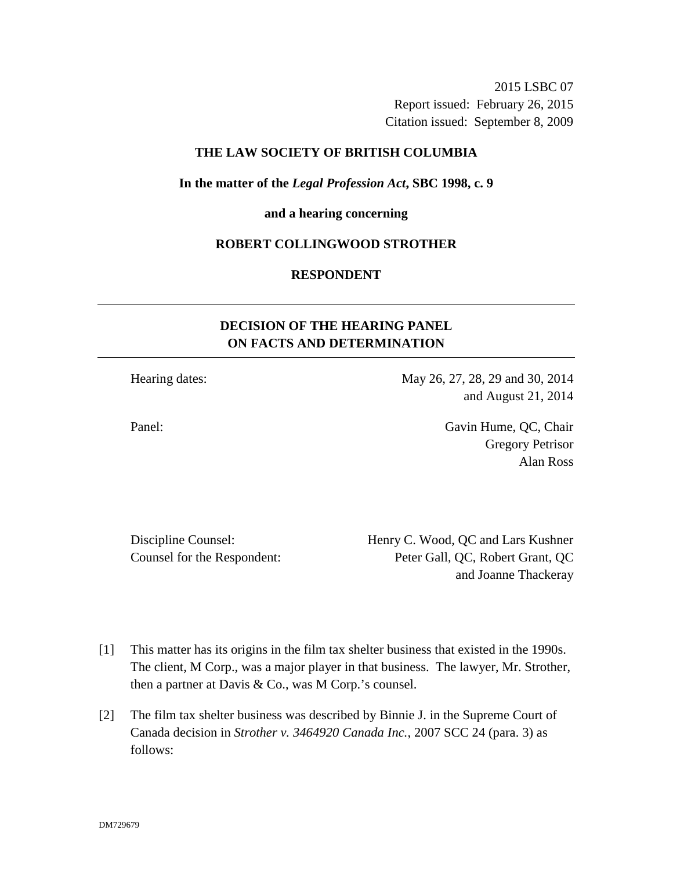2015 LSBC 07 Report issued: February 26, 2015 Citation issued: September 8, 2009

### **THE LAW SOCIETY OF BRITISH COLUMBIA**

#### **In the matter of the** *Legal Profession Act***, SBC 1998, c. 9**

#### **and a hearing concerning**

#### **ROBERT COLLINGWOOD STROTHER**

### **RESPONDENT**

# **DECISION OF THE HEARING PANEL ON FACTS AND DETERMINATION**

Hearing dates: May 26, 27, 28, 29 and 30, 2014 and August 21, 2014

Panel: Gavin Hume, QC, Chair Gregory Petrisor Alan Ross

Discipline Counsel: Henry C. Wood, QC and Lars Kushner Counsel for the Respondent: Peter Gall, QC, Robert Grant, QC and Joanne Thackeray

- [1] This matter has its origins in the film tax shelter business that existed in the 1990s. The client, M Corp., was a major player in that business. The lawyer, Mr. Strother, then a partner at Davis & Co., was M Corp.'s counsel.
- [2] The film tax shelter business was described by Binnie J. in the Supreme Court of Canada decision in *Strother v. 3464920 Canada Inc.*, 2007 SCC 24 (para. 3) as follows: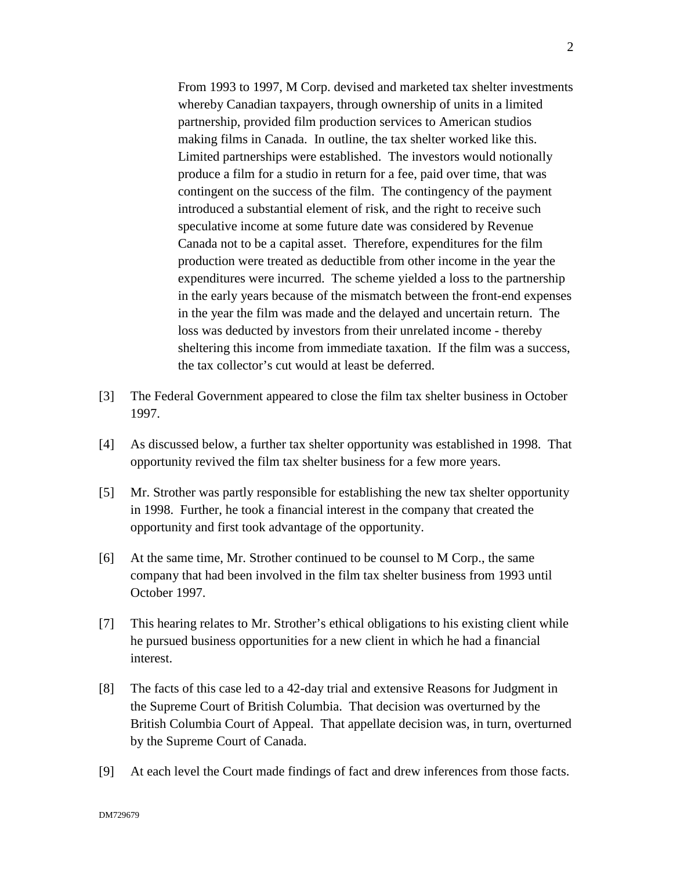From 1993 to 1997, M Corp. devised and marketed tax shelter investments whereby Canadian taxpayers, through ownership of units in a limited partnership, provided film production services to American studios making films in Canada. In outline, the tax shelter worked like this. Limited partnerships were established. The investors would notionally produce a film for a studio in return for a fee, paid over time, that was contingent on the success of the film. The contingency of the payment introduced a substantial element of risk, and the right to receive such speculative income at some future date was considered by Revenue Canada not to be a capital asset. Therefore, expenditures for the film production were treated as deductible from other income in the year the expenditures were incurred. The scheme yielded a loss to the partnership in the early years because of the mismatch between the front-end expenses in the year the film was made and the delayed and uncertain return. The loss was deducted by investors from their unrelated income - thereby sheltering this income from immediate taxation. If the film was a success, the tax collector's cut would at least be deferred.

- [3] The Federal Government appeared to close the film tax shelter business in October 1997.
- [4] As discussed below, a further tax shelter opportunity was established in 1998. That opportunity revived the film tax shelter business for a few more years.
- [5] Mr. Strother was partly responsible for establishing the new tax shelter opportunity in 1998. Further, he took a financial interest in the company that created the opportunity and first took advantage of the opportunity.
- [6] At the same time, Mr. Strother continued to be counsel to M Corp., the same company that had been involved in the film tax shelter business from 1993 until October 1997.
- [7] This hearing relates to Mr. Strother's ethical obligations to his existing client while he pursued business opportunities for a new client in which he had a financial interest.
- [8] The facts of this case led to a 42-day trial and extensive Reasons for Judgment in the Supreme Court of British Columbia. That decision was overturned by the British Columbia Court of Appeal. That appellate decision was, in turn, overturned by the Supreme Court of Canada.
- [9] At each level the Court made findings of fact and drew inferences from those facts.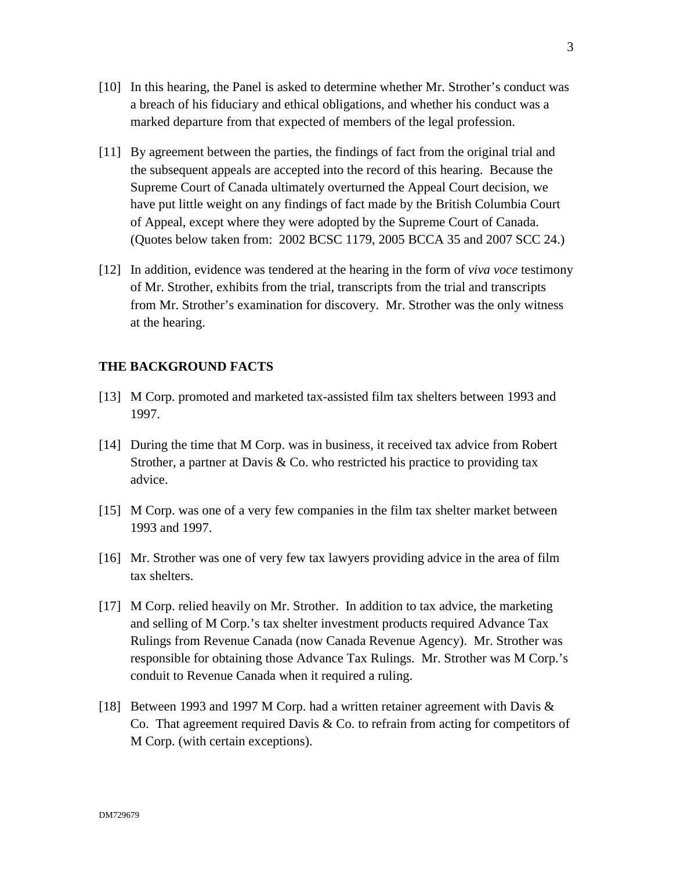- [10] In this hearing, the Panel is asked to determine whether Mr. Strother's conduct was a breach of his fiduciary and ethical obligations, and whether his conduct was a marked departure from that expected of members of the legal profession.
- [11] By agreement between the parties, the findings of fact from the original trial and the subsequent appeals are accepted into the record of this hearing. Because the Supreme Court of Canada ultimately overturned the Appeal Court decision, we have put little weight on any findings of fact made by the British Columbia Court of Appeal, except where they were adopted by the Supreme Court of Canada. (Quotes below taken from: 2002 BCSC 1179, 2005 BCCA 35 and 2007 SCC 24.)
- [12] In addition, evidence was tendered at the hearing in the form of *viva voce* testimony of Mr. Strother, exhibits from the trial, transcripts from the trial and transcripts from Mr. Strother's examination for discovery. Mr. Strother was the only witness at the hearing.

### **THE BACKGROUND FACTS**

- [13] M Corp. promoted and marketed tax-assisted film tax shelters between 1993 and 1997.
- [14] During the time that M Corp. was in business, it received tax advice from Robert Strother, a partner at Davis  $\&$  Co. who restricted his practice to providing tax advice.
- [15] M Corp. was one of a very few companies in the film tax shelter market between 1993 and 1997.
- [16] Mr. Strother was one of very few tax lawyers providing advice in the area of film tax shelters.
- [17] M Corp. relied heavily on Mr. Strother. In addition to tax advice, the marketing and selling of M Corp.'s tax shelter investment products required Advance Tax Rulings from Revenue Canada (now Canada Revenue Agency). Mr. Strother was responsible for obtaining those Advance Tax Rulings. Mr. Strother was M Corp.'s conduit to Revenue Canada when it required a ruling.
- [18] Between 1993 and 1997 M Corp. had a written retainer agreement with Davis & Co. That agreement required Davis  $&$  Co. to refrain from acting for competitors of M Corp. (with certain exceptions).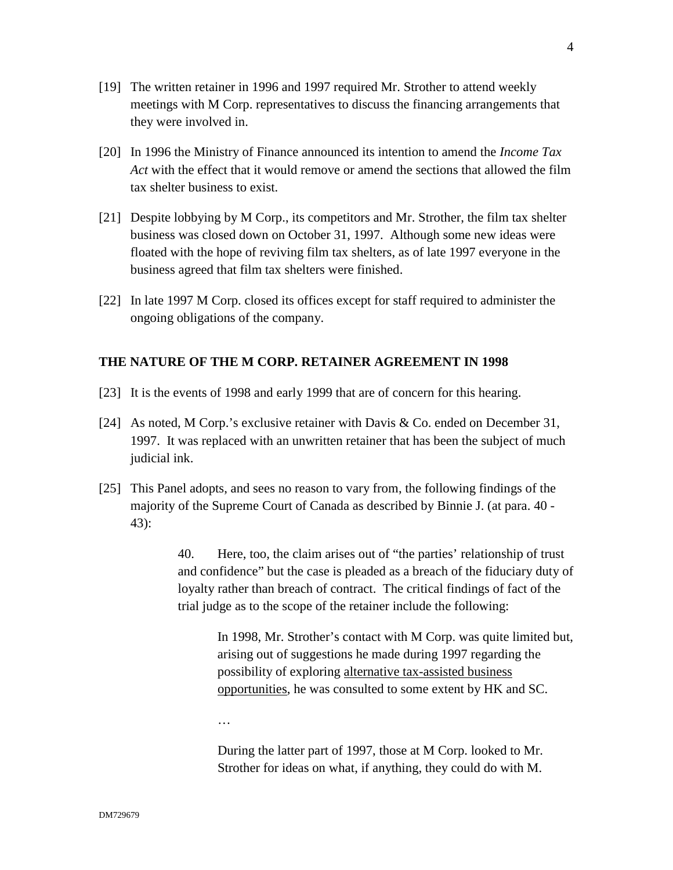- [19] The written retainer in 1996 and 1997 required Mr. Strother to attend weekly meetings with M Corp. representatives to discuss the financing arrangements that they were involved in.
- [20] In 1996 the Ministry of Finance announced its intention to amend the *Income Tax Act* with the effect that it would remove or amend the sections that allowed the film tax shelter business to exist.
- [21] Despite lobbying by M Corp., its competitors and Mr. Strother, the film tax shelter business was closed down on October 31, 1997. Although some new ideas were floated with the hope of reviving film tax shelters, as of late 1997 everyone in the business agreed that film tax shelters were finished.
- [22] In late 1997 M Corp. closed its offices except for staff required to administer the ongoing obligations of the company.

### **THE NATURE OF THE M CORP. RETAINER AGREEMENT IN 1998**

- [23] It is the events of 1998 and early 1999 that are of concern for this hearing.
- [24] As noted, M Corp.'s exclusive retainer with Davis & Co. ended on December 31, 1997. It was replaced with an unwritten retainer that has been the subject of much judicial ink.
- [25] This Panel adopts, and sees no reason to vary from, the following findings of the majority of the Supreme Court of Canada as described by Binnie J. (at para. 40 - 43):

40. Here, too, the claim arises out of "the parties' relationship of trust and confidence" but the case is pleaded as a breach of the fiduciary duty of loyalty rather than breach of contract. The critical findings of fact of the trial judge as to the scope of the retainer include the following:

> In 1998, Mr. Strother's contact with M Corp. was quite limited but, arising out of suggestions he made during 1997 regarding the possibility of exploring alternative tax-assisted business opportunities, he was consulted to some extent by HK and SC.

…

During the latter part of 1997, those at M Corp. looked to Mr. Strother for ideas on what, if anything, they could do with M.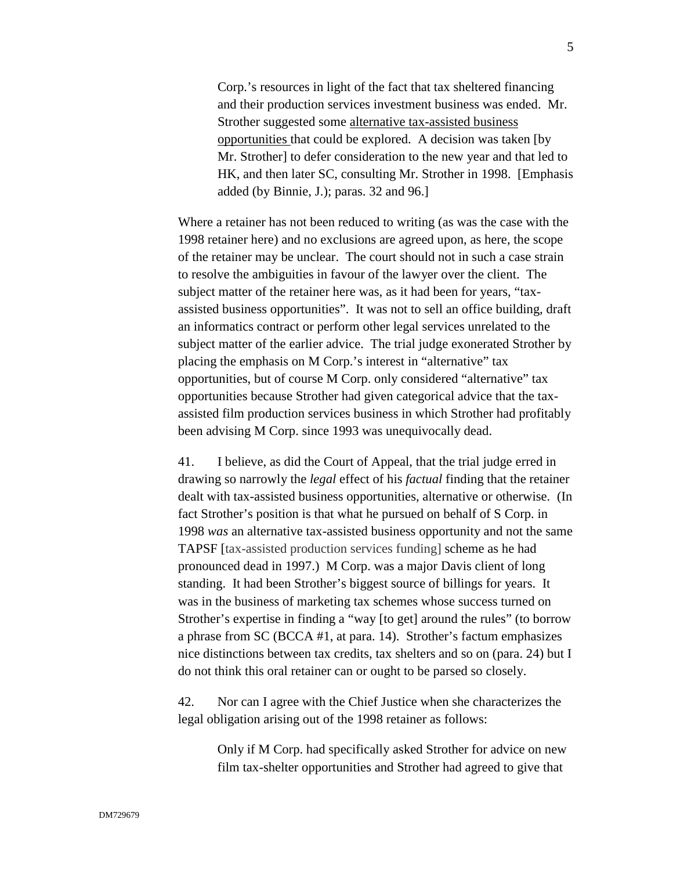Corp.'s resources in light of the fact that tax sheltered financing and their production services investment business was ended. Mr. Strother suggested some alternative tax-assisted business opportunities that could be explored. A decision was taken [by Mr. Strother] to defer consideration to the new year and that led to HK, and then later SC, consulting Mr. Strother in 1998. [Emphasis added (by Binnie, J.); paras. 32 and 96.]

Where a retainer has not been reduced to writing (as was the case with the 1998 retainer here) and no exclusions are agreed upon, as here, the scope of the retainer may be unclear. The court should not in such a case strain to resolve the ambiguities in favour of the lawyer over the client. The subject matter of the retainer here was, as it had been for years, "taxassisted business opportunities". It was not to sell an office building, draft an informatics contract or perform other legal services unrelated to the subject matter of the earlier advice. The trial judge exonerated Strother by placing the emphasis on M Corp.'s interest in "alternative" tax opportunities, but of course M Corp. only considered "alternative" tax opportunities because Strother had given categorical advice that the taxassisted film production services business in which Strother had profitably been advising M Corp. since 1993 was unequivocally dead.

41. I believe, as did the Court of Appeal, that the trial judge erred in drawing so narrowly the *legal* effect of his *factual* finding that the retainer dealt with tax-assisted business opportunities, alternative or otherwise. (In fact Strother's position is that what he pursued on behalf of S Corp. in 1998 *was* an alternative tax-assisted business opportunity and not the same TAPSF [tax-assisted production services funding] scheme as he had pronounced dead in 1997.) M Corp. was a major Davis client of long standing. It had been Strother's biggest source of billings for years. It was in the business of marketing tax schemes whose success turned on Strother's expertise in finding a "way [to get] around the rules" (to borrow a phrase from SC (BCCA #1, at para. 14). Strother's factum emphasizes nice distinctions between tax credits, tax shelters and so on (para. 24) but I do not think this oral retainer can or ought to be parsed so closely.

42. Nor can I agree with the Chief Justice when she characterizes the legal obligation arising out of the 1998 retainer as follows:

> Only if M Corp. had specifically asked Strother for advice on new film tax-shelter opportunities and Strother had agreed to give that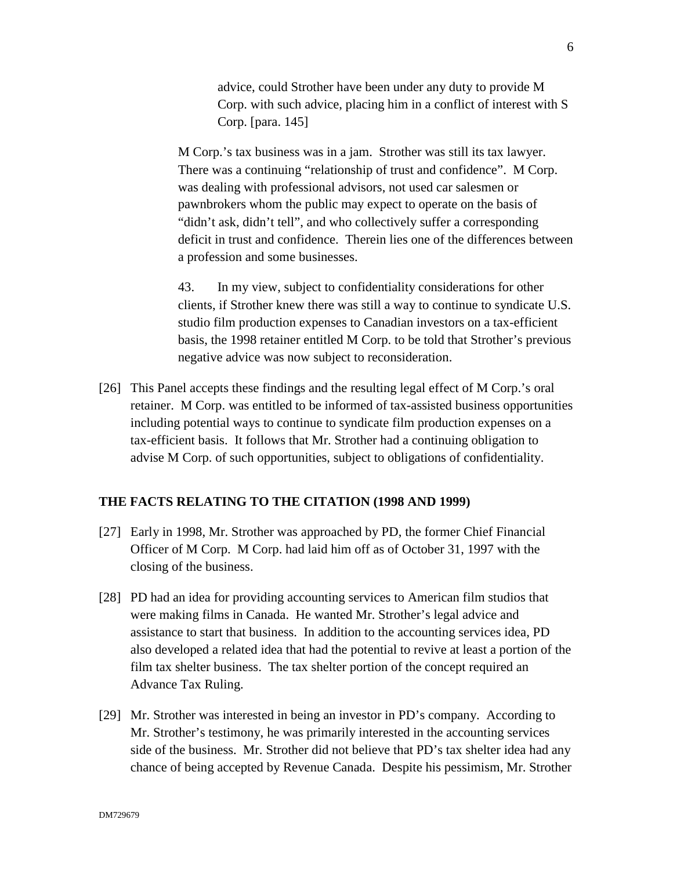advice, could Strother have been under any duty to provide M Corp. with such advice, placing him in a conflict of interest with S Corp. [para. 145]

M Corp.'s tax business was in a jam. Strother was still its tax lawyer. There was a continuing "relationship of trust and confidence". M Corp. was dealing with professional advisors, not used car salesmen or pawnbrokers whom the public may expect to operate on the basis of "didn't ask, didn't tell", and who collectively suffer a corresponding deficit in trust and confidence. Therein lies one of the differences between a profession and some businesses.

43. In my view, subject to confidentiality considerations for other clients, if Strother knew there was still a way to continue to syndicate U.S. studio film production expenses to Canadian investors on a tax-efficient basis, the 1998 retainer entitled M Corp. to be told that Strother's previous negative advice was now subject to reconsideration.

[26] This Panel accepts these findings and the resulting legal effect of M Corp.'s oral retainer. M Corp. was entitled to be informed of tax-assisted business opportunities including potential ways to continue to syndicate film production expenses on a tax-efficient basis. It follows that Mr. Strother had a continuing obligation to advise M Corp. of such opportunities, subject to obligations of confidentiality.

#### **THE FACTS RELATING TO THE CITATION (1998 AND 1999)**

- [27] Early in 1998, Mr. Strother was approached by PD, the former Chief Financial Officer of M Corp. M Corp. had laid him off as of October 31, 1997 with the closing of the business.
- [28] PD had an idea for providing accounting services to American film studios that were making films in Canada. He wanted Mr. Strother's legal advice and assistance to start that business. In addition to the accounting services idea, PD also developed a related idea that had the potential to revive at least a portion of the film tax shelter business. The tax shelter portion of the concept required an Advance Tax Ruling.
- [29] Mr. Strother was interested in being an investor in PD's company. According to Mr. Strother's testimony, he was primarily interested in the accounting services side of the business. Mr. Strother did not believe that PD's tax shelter idea had any chance of being accepted by Revenue Canada. Despite his pessimism, Mr. Strother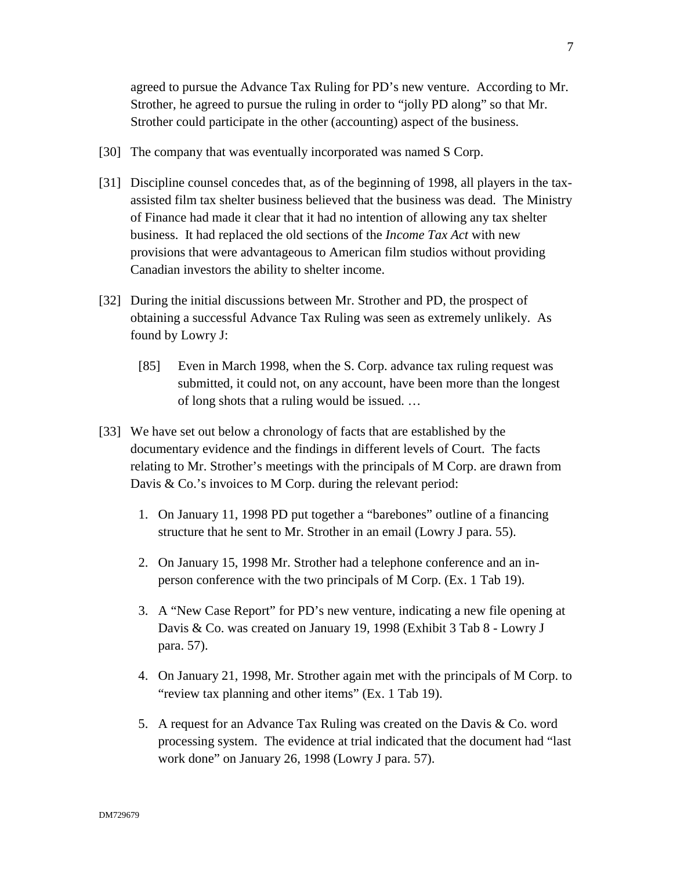agreed to pursue the Advance Tax Ruling for PD's new venture. According to Mr. Strother, he agreed to pursue the ruling in order to "jolly PD along" so that Mr. Strother could participate in the other (accounting) aspect of the business.

- [30] The company that was eventually incorporated was named S Corp.
- [31] Discipline counsel concedes that, as of the beginning of 1998, all players in the taxassisted film tax shelter business believed that the business was dead. The Ministry of Finance had made it clear that it had no intention of allowing any tax shelter business. It had replaced the old sections of the *Income Tax Act* with new provisions that were advantageous to American film studios without providing Canadian investors the ability to shelter income.
- [32] During the initial discussions between Mr. Strother and PD, the prospect of obtaining a successful Advance Tax Ruling was seen as extremely unlikely. As found by Lowry J:
	- [85] Even in March 1998, when the S. Corp. advance tax ruling request was submitted, it could not, on any account, have been more than the longest of long shots that a ruling would be issued. …
- [33] We have set out below a chronology of facts that are established by the documentary evidence and the findings in different levels of Court. The facts relating to Mr. Strother's meetings with the principals of M Corp. are drawn from Davis & Co.'s invoices to M Corp. during the relevant period:
	- 1. On January 11, 1998 PD put together a "barebones" outline of a financing structure that he sent to Mr. Strother in an email (Lowry J para. 55).
	- 2. On January 15, 1998 Mr. Strother had a telephone conference and an inperson conference with the two principals of M Corp. (Ex. 1 Tab 19).
	- 3. A "New Case Report" for PD's new venture, indicating a new file opening at Davis & Co. was created on January 19, 1998 (Exhibit 3 Tab 8 - Lowry J para. 57).
	- 4. On January 21, 1998, Mr. Strother again met with the principals of M Corp. to "review tax planning and other items" (Ex. 1 Tab 19).
	- 5. A request for an Advance Tax Ruling was created on the Davis & Co. word processing system. The evidence at trial indicated that the document had "last work done" on January 26, 1998 (Lowry J para. 57).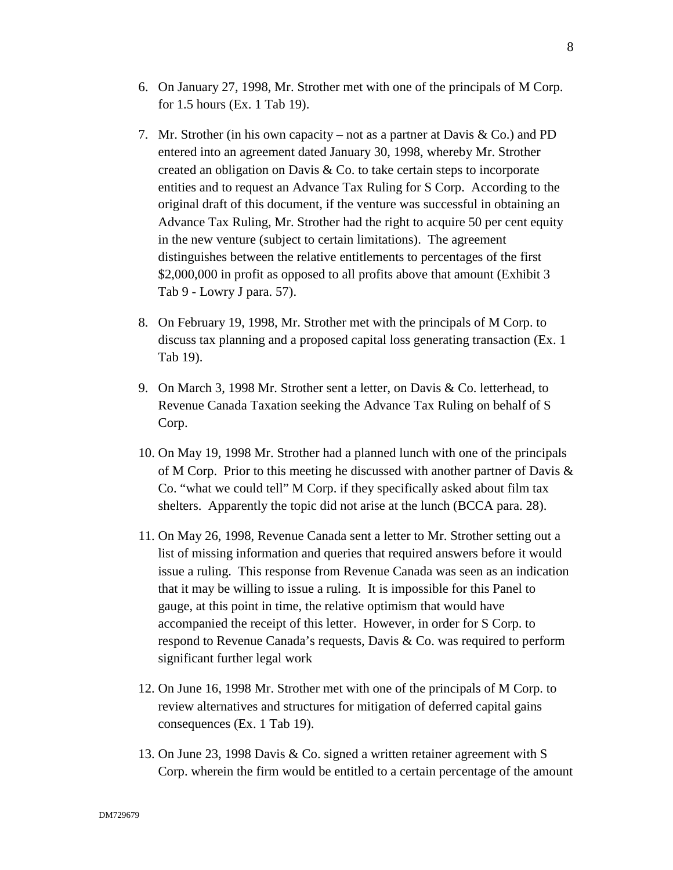- 6. On January 27, 1998, Mr. Strother met with one of the principals of M Corp. for 1.5 hours (Ex. 1 Tab 19).
- 7. Mr. Strother (in his own capacity not as a partner at Davis & Co.) and PD entered into an agreement dated January 30, 1998, whereby Mr. Strother created an obligation on Davis & Co. to take certain steps to incorporate entities and to request an Advance Tax Ruling for S Corp. According to the original draft of this document, if the venture was successful in obtaining an Advance Tax Ruling, Mr. Strother had the right to acquire 50 per cent equity in the new venture (subject to certain limitations). The agreement distinguishes between the relative entitlements to percentages of the first \$2,000,000 in profit as opposed to all profits above that amount (Exhibit 3) Tab 9 - Lowry J para. 57).
- 8. On February 19, 1998, Mr. Strother met with the principals of M Corp. to discuss tax planning and a proposed capital loss generating transaction (Ex. 1 Tab 19).
- 9. On March 3, 1998 Mr. Strother sent a letter, on Davis & Co. letterhead, to Revenue Canada Taxation seeking the Advance Tax Ruling on behalf of S Corp.
- 10. On May 19, 1998 Mr. Strother had a planned lunch with one of the principals of M Corp. Prior to this meeting he discussed with another partner of Davis & Co. "what we could tell" M Corp. if they specifically asked about film tax shelters. Apparently the topic did not arise at the lunch (BCCA para. 28).
- 11. On May 26, 1998, Revenue Canada sent a letter to Mr. Strother setting out a list of missing information and queries that required answers before it would issue a ruling. This response from Revenue Canada was seen as an indication that it may be willing to issue a ruling. It is impossible for this Panel to gauge, at this point in time, the relative optimism that would have accompanied the receipt of this letter. However, in order for S Corp. to respond to Revenue Canada's requests, Davis & Co. was required to perform significant further legal work
- 12. On June 16, 1998 Mr. Strother met with one of the principals of M Corp. to review alternatives and structures for mitigation of deferred capital gains consequences (Ex. 1 Tab 19).
- 13. On June 23, 1998 Davis & Co. signed a written retainer agreement with S Corp. wherein the firm would be entitled to a certain percentage of the amount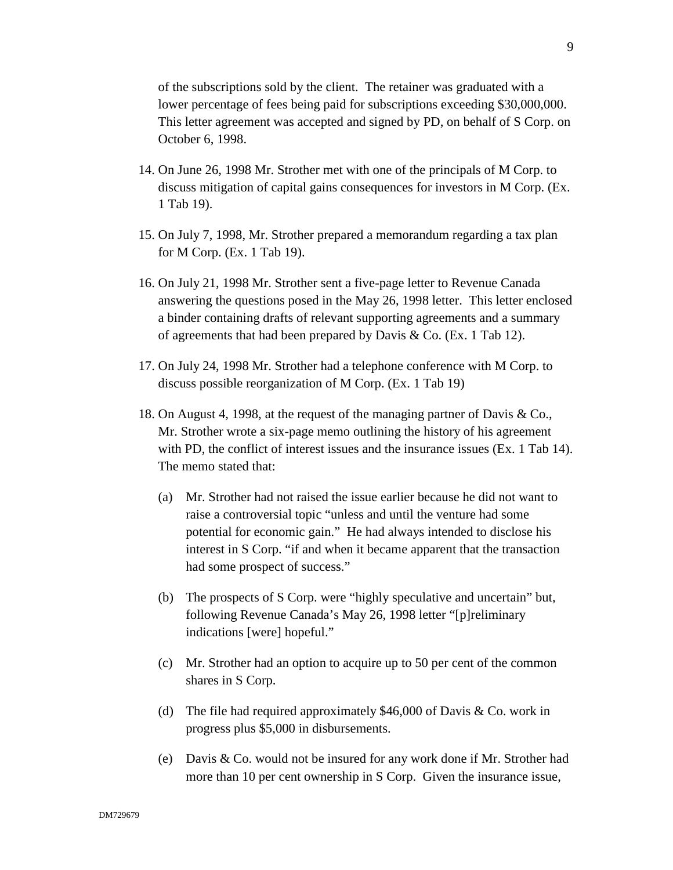of the subscriptions sold by the client. The retainer was graduated with a lower percentage of fees being paid for subscriptions exceeding \$30,000,000. This letter agreement was accepted and signed by PD, on behalf of S Corp. on October 6, 1998.

- 14. On June 26, 1998 Mr. Strother met with one of the principals of M Corp. to discuss mitigation of capital gains consequences for investors in M Corp. (Ex. 1 Tab 19).
- 15. On July 7, 1998, Mr. Strother prepared a memorandum regarding a tax plan for M Corp. (Ex. 1 Tab 19).
- 16. On July 21, 1998 Mr. Strother sent a five-page letter to Revenue Canada answering the questions posed in the May 26, 1998 letter. This letter enclosed a binder containing drafts of relevant supporting agreements and a summary of agreements that had been prepared by Davis & Co. (Ex. 1 Tab 12).
- 17. On July 24, 1998 Mr. Strother had a telephone conference with M Corp. to discuss possible reorganization of M Corp. (Ex. 1 Tab 19)
- 18. On August 4, 1998, at the request of the managing partner of Davis & Co., Mr. Strother wrote a six-page memo outlining the history of his agreement with PD, the conflict of interest issues and the insurance issues (Ex. 1 Tab 14). The memo stated that:
	- (a) Mr. Strother had not raised the issue earlier because he did not want to raise a controversial topic "unless and until the venture had some potential for economic gain." He had always intended to disclose his interest in S Corp. "if and when it became apparent that the transaction had some prospect of success."
	- (b) The prospects of S Corp. were "highly speculative and uncertain" but, following Revenue Canada's May 26, 1998 letter "[p]reliminary indications [were] hopeful."
	- (c) Mr. Strother had an option to acquire up to 50 per cent of the common shares in S Corp.
	- (d) The file had required approximately \$46,000 of Davis  $& Co.$  work in progress plus \$5,000 in disbursements.
	- (e) Davis & Co. would not be insured for any work done if Mr. Strother had more than 10 per cent ownership in S Corp. Given the insurance issue,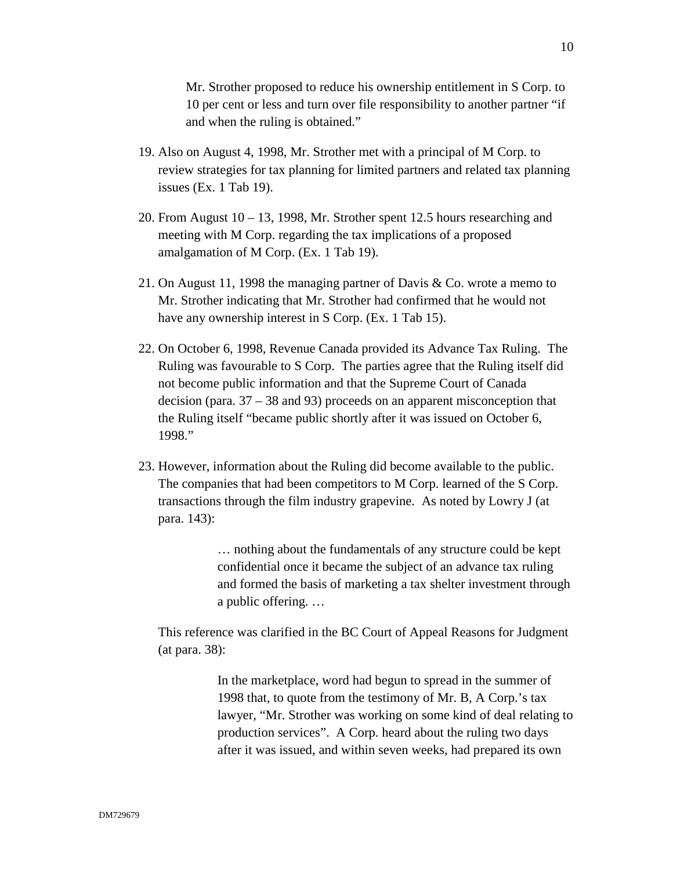Mr. Strother proposed to reduce his ownership entitlement in S Corp. to 10 per cent or less and turn over file responsibility to another partner "if and when the ruling is obtained."

- 19. Also on August 4, 1998, Mr. Strother met with a principal of M Corp. to review strategies for tax planning for limited partners and related tax planning issues (Ex. 1 Tab 19).
- 20. From August  $10 13$ , 1998, Mr. Strother spent 12.5 hours researching and meeting with M Corp. regarding the tax implications of a proposed amalgamation of M Corp. (Ex. 1 Tab 19).
- 21. On August 11, 1998 the managing partner of Davis & Co. wrote a memo to Mr. Strother indicating that Mr. Strother had confirmed that he would not have any ownership interest in S Corp. (Ex. 1 Tab 15).
- 22. On October 6, 1998, Revenue Canada provided its Advance Tax Ruling. The Ruling was favourable to S Corp. The parties agree that the Ruling itself did not become public information and that the Supreme Court of Canada decision (para. 37 – 38 and 93) proceeds on an apparent misconception that the Ruling itself "became public shortly after it was issued on October 6, 1998."
- 23. However, information about the Ruling did become available to the public. The companies that had been competitors to M Corp. learned of the S Corp. transactions through the film industry grapevine. As noted by Lowry J (at para. 143):

… nothing about the fundamentals of any structure could be kept confidential once it became the subject of an advance tax ruling and formed the basis of marketing a tax shelter investment through a public offering. …

This reference was clarified in the BC Court of Appeal Reasons for Judgment (at para. 38):

> In the marketplace, word had begun to spread in the summer of 1998 that, to quote from the testimony of Mr. B, A Corp.'s tax lawyer, "Mr. Strother was working on some kind of deal relating to production services". A Corp. heard about the ruling two days after it was issued, and within seven weeks, had prepared its own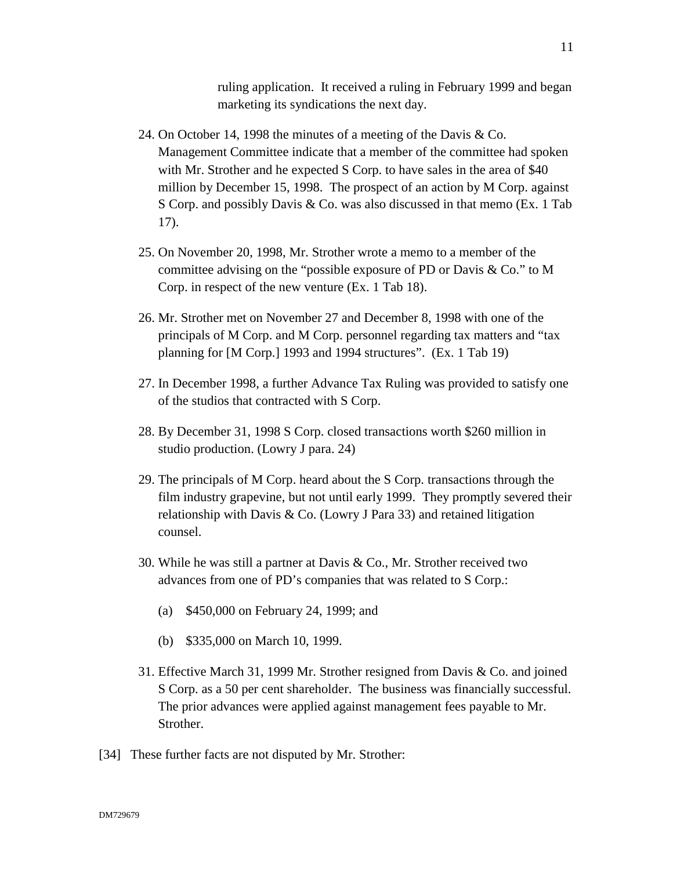ruling application. It received a ruling in February 1999 and began marketing its syndications the next day.

- 24. On October 14, 1998 the minutes of a meeting of the Davis & Co. Management Committee indicate that a member of the committee had spoken with Mr. Strother and he expected S Corp. to have sales in the area of \$40 million by December 15, 1998. The prospect of an action by M Corp. against S Corp. and possibly Davis & Co. was also discussed in that memo (Ex. 1 Tab 17).
- 25. On November 20, 1998, Mr. Strother wrote a memo to a member of the committee advising on the "possible exposure of PD or Davis & Co." to M Corp. in respect of the new venture (Ex. 1 Tab 18).
- 26. Mr. Strother met on November 27 and December 8, 1998 with one of the principals of M Corp. and M Corp. personnel regarding tax matters and "tax planning for [M Corp.] 1993 and 1994 structures". (Ex. 1 Tab 19)
- 27. In December 1998, a further Advance Tax Ruling was provided to satisfy one of the studios that contracted with S Corp.
- 28. By December 31, 1998 S Corp. closed transactions worth \$260 million in studio production. (Lowry J para. 24)
- 29. The principals of M Corp. heard about the S Corp. transactions through the film industry grapevine, but not until early 1999. They promptly severed their relationship with Davis & Co. (Lowry J Para 33) and retained litigation counsel.
- 30. While he was still a partner at Davis & Co., Mr. Strother received two advances from one of PD's companies that was related to S Corp.:
	- (a) \$450,000 on February 24, 1999; and
	- (b) \$335,000 on March 10, 1999.
- 31. Effective March 31, 1999 Mr. Strother resigned from Davis & Co. and joined S Corp. as a 50 per cent shareholder. The business was financially successful. The prior advances were applied against management fees payable to Mr. Strother.
- [34] These further facts are not disputed by Mr. Strother: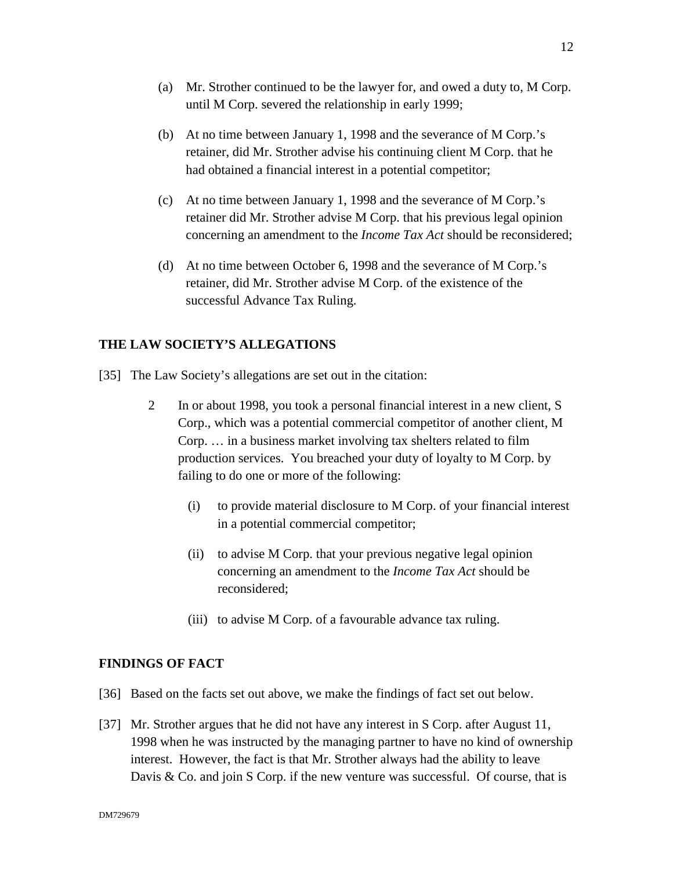- (a) Mr. Strother continued to be the lawyer for, and owed a duty to, M Corp. until M Corp. severed the relationship in early 1999;
- (b) At no time between January 1, 1998 and the severance of M Corp.'s retainer, did Mr. Strother advise his continuing client M Corp. that he had obtained a financial interest in a potential competitor;
- (c) At no time between January 1, 1998 and the severance of M Corp.'s retainer did Mr. Strother advise M Corp. that his previous legal opinion concerning an amendment to the *Income Tax Act* should be reconsidered;
- (d) At no time between October 6, 1998 and the severance of M Corp.'s retainer, did Mr. Strother advise M Corp. of the existence of the successful Advance Tax Ruling.

# **THE LAW SOCIETY'S ALLEGATIONS**

- [35] The Law Society's allegations are set out in the citation:
	- 2 In or about 1998, you took a personal financial interest in a new client, S Corp., which was a potential commercial competitor of another client, M Corp. … in a business market involving tax shelters related to film production services. You breached your duty of loyalty to M Corp. by failing to do one or more of the following:
		- (i) to provide material disclosure to M Corp. of your financial interest in a potential commercial competitor;
		- (ii) to advise M Corp. that your previous negative legal opinion concerning an amendment to the *Income Tax Act* should be reconsidered;
		- (iii) to advise M Corp. of a favourable advance tax ruling.

# **FINDINGS OF FACT**

- [36] Based on the facts set out above, we make the findings of fact set out below.
- [37] Mr. Strother argues that he did not have any interest in S Corp. after August 11, 1998 when he was instructed by the managing partner to have no kind of ownership interest. However, the fact is that Mr. Strother always had the ability to leave Davis & Co. and join S Corp. if the new venture was successful. Of course, that is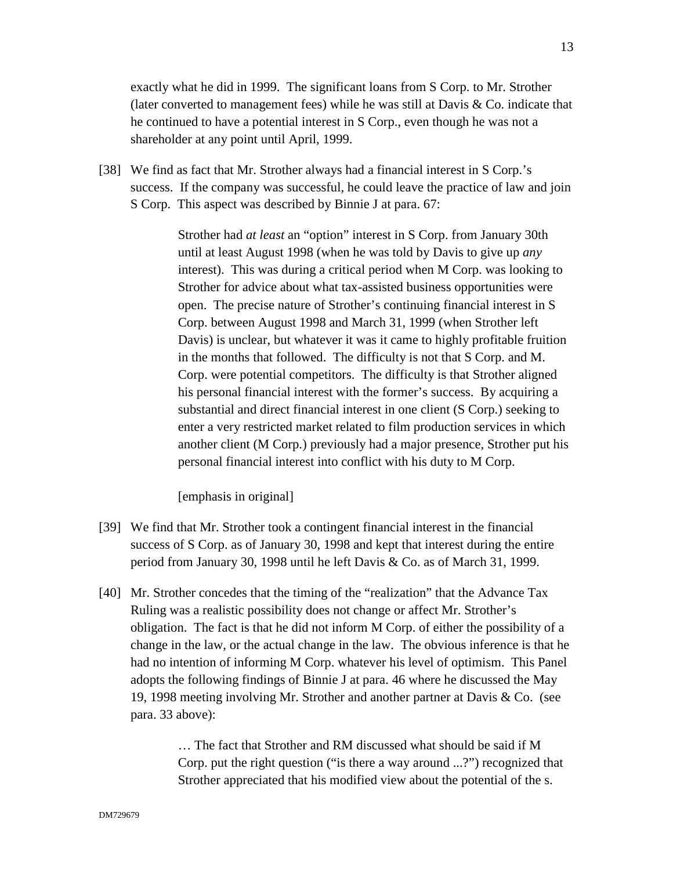exactly what he did in 1999. The significant loans from S Corp. to Mr. Strother (later converted to management fees) while he was still at Davis & Co. indicate that he continued to have a potential interest in S Corp., even though he was not a shareholder at any point until April, 1999.

[38] We find as fact that Mr. Strother always had a financial interest in S Corp.'s success. If the company was successful, he could leave the practice of law and join S Corp. This aspect was described by Binnie J at para. 67:

> Strother had *at least* an "option" interest in S Corp. from January 30th until at least August 1998 (when he was told by Davis to give up *any* interest). This was during a critical period when M Corp. was looking to Strother for advice about what tax-assisted business opportunities were open. The precise nature of Strother's continuing financial interest in S Corp. between August 1998 and March 31, 1999 (when Strother left Davis) is unclear, but whatever it was it came to highly profitable fruition in the months that followed. The difficulty is not that S Corp. and M. Corp. were potential competitors. The difficulty is that Strother aligned his personal financial interest with the former's success. By acquiring a substantial and direct financial interest in one client (S Corp.) seeking to enter a very restricted market related to film production services in which another client (M Corp.) previously had a major presence, Strother put his personal financial interest into conflict with his duty to M Corp.

[emphasis in original]

- [39] We find that Mr. Strother took a contingent financial interest in the financial success of S Corp. as of January 30, 1998 and kept that interest during the entire period from January 30, 1998 until he left Davis & Co. as of March 31, 1999.
- [40] Mr. Strother concedes that the timing of the "realization" that the Advance Tax Ruling was a realistic possibility does not change or affect Mr. Strother's obligation. The fact is that he did not inform M Corp. of either the possibility of a change in the law, or the actual change in the law. The obvious inference is that he had no intention of informing M Corp. whatever his level of optimism. This Panel adopts the following findings of Binnie J at para. 46 where he discussed the May 19, 1998 meeting involving Mr. Strother and another partner at Davis & Co. (see para. 33 above):

… The fact that Strother and RM discussed what should be said if M Corp. put the right question ("is there a way around ...?") recognized that Strother appreciated that his modified view about the potential of the s.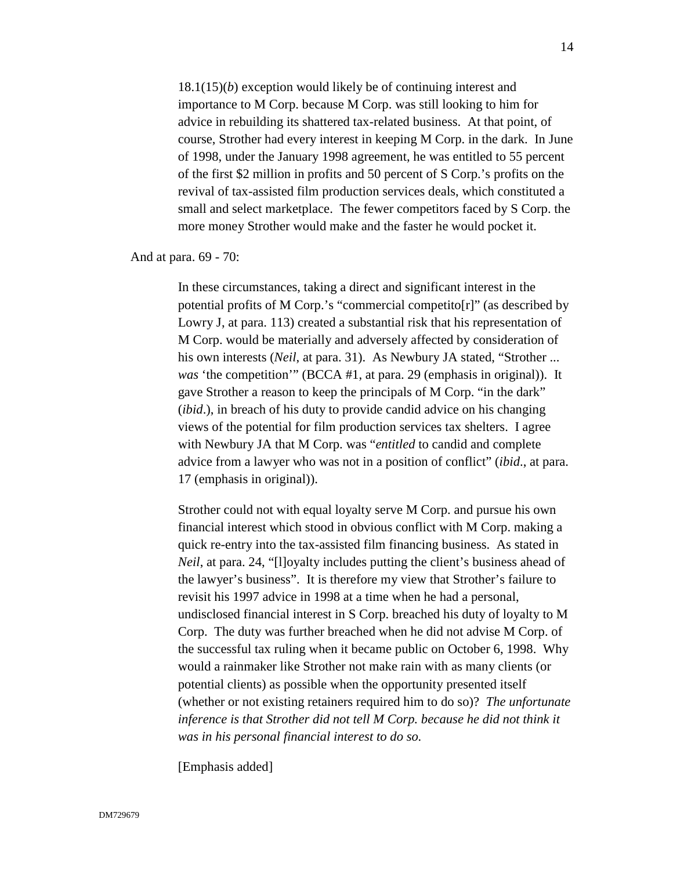18.1(15)(*b*) exception would likely be of continuing interest and importance to M Corp. because M Corp. was still looking to him for advice in rebuilding its shattered tax-related business. At that point, of course, Strother had every interest in keeping M Corp. in the dark. In June of 1998, under the January 1998 agreement, he was entitled to 55 percent of the first \$2 million in profits and 50 percent of S Corp.'s profits on the revival of tax-assisted film production services deals, which constituted a small and select marketplace. The fewer competitors faced by S Corp. the more money Strother would make and the faster he would pocket it.

And at para. 69 - 70:

In these circumstances, taking a direct and significant interest in the potential profits of M Corp.'s "commercial competito[r]" (as described by Lowry J, at para. 113) created a substantial risk that his representation of M Corp. would be materially and adversely affected by consideration of his own interests (*Neil*, at para. 31). As Newbury JA stated, "Strother ... *was* 'the competition'" (BCCA #1, at para. 29 (emphasis in original)). It gave Strother a reason to keep the principals of M Corp. "in the dark" (*ibid*.), in breach of his duty to provide candid advice on his changing views of the potential for film production services tax shelters. I agree with Newbury JA that M Corp. was "*entitled* to candid and complete advice from a lawyer who was not in a position of conflict" (*ibid*., at para. 17 (emphasis in original)).

Strother could not with equal loyalty serve M Corp. and pursue his own financial interest which stood in obvious conflict with M Corp. making a quick re-entry into the tax-assisted film financing business. As stated in *Neil*, at para. 24, "[l]oyalty includes putting the client's business ahead of the lawyer's business". It is therefore my view that Strother's failure to revisit his 1997 advice in 1998 at a time when he had a personal, undisclosed financial interest in S Corp. breached his duty of loyalty to M Corp. The duty was further breached when he did not advise M Corp. of the successful tax ruling when it became public on October 6, 1998. Why would a rainmaker like Strother not make rain with as many clients (or potential clients) as possible when the opportunity presented itself (whether or not existing retainers required him to do so)? *The unfortunate*  inference is that Strother did not tell M Corp. because he did not think it *was in his personal financial interest to do so.*

[Emphasis added]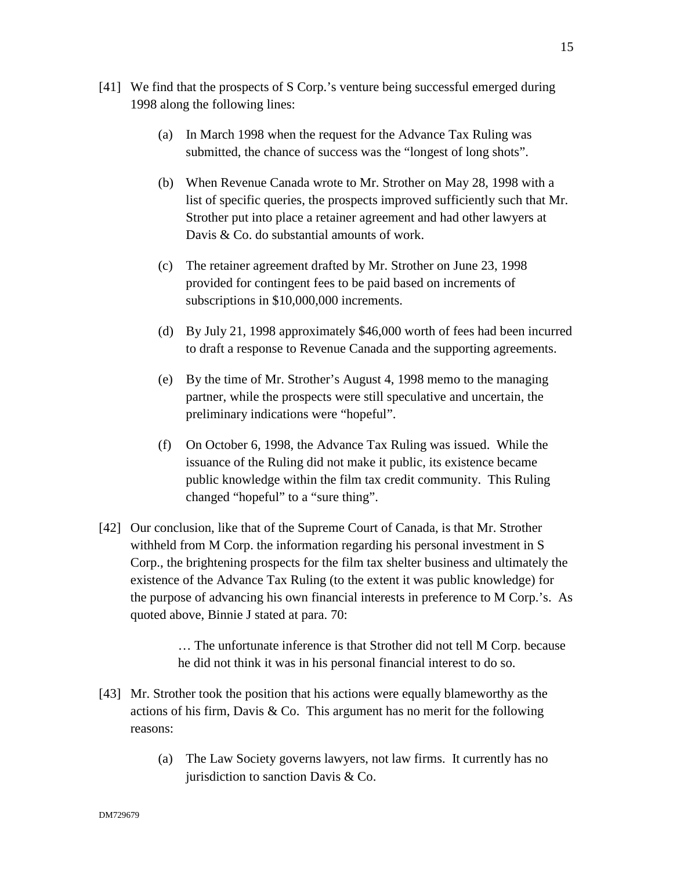- (a) In March 1998 when the request for the Advance Tax Ruling was submitted, the chance of success was the "longest of long shots".
- (b) When Revenue Canada wrote to Mr. Strother on May 28, 1998 with a list of specific queries, the prospects improved sufficiently such that Mr. Strother put into place a retainer agreement and had other lawyers at Davis & Co. do substantial amounts of work.
- (c) The retainer agreement drafted by Mr. Strother on June 23, 1998 provided for contingent fees to be paid based on increments of subscriptions in \$10,000,000 increments.
- (d) By July 21, 1998 approximately \$46,000 worth of fees had been incurred to draft a response to Revenue Canada and the supporting agreements.
- (e) By the time of Mr. Strother's August 4, 1998 memo to the managing partner, while the prospects were still speculative and uncertain, the preliminary indications were "hopeful".
- (f) On October 6, 1998, the Advance Tax Ruling was issued. While the issuance of the Ruling did not make it public, its existence became public knowledge within the film tax credit community. This Ruling changed "hopeful" to a "sure thing".
- [42] Our conclusion, like that of the Supreme Court of Canada, is that Mr. Strother withheld from M Corp. the information regarding his personal investment in S Corp., the brightening prospects for the film tax shelter business and ultimately the existence of the Advance Tax Ruling (to the extent it was public knowledge) for the purpose of advancing his own financial interests in preference to M Corp.'s. As quoted above, Binnie J stated at para. 70:

… The unfortunate inference is that Strother did not tell M Corp. because he did not think it was in his personal financial interest to do so.

- [43] Mr. Strother took the position that his actions were equally blameworthy as the actions of his firm, Davis  $\&$  Co. This argument has no merit for the following reasons:
	- (a) The Law Society governs lawyers, not law firms. It currently has no jurisdiction to sanction Davis & Co.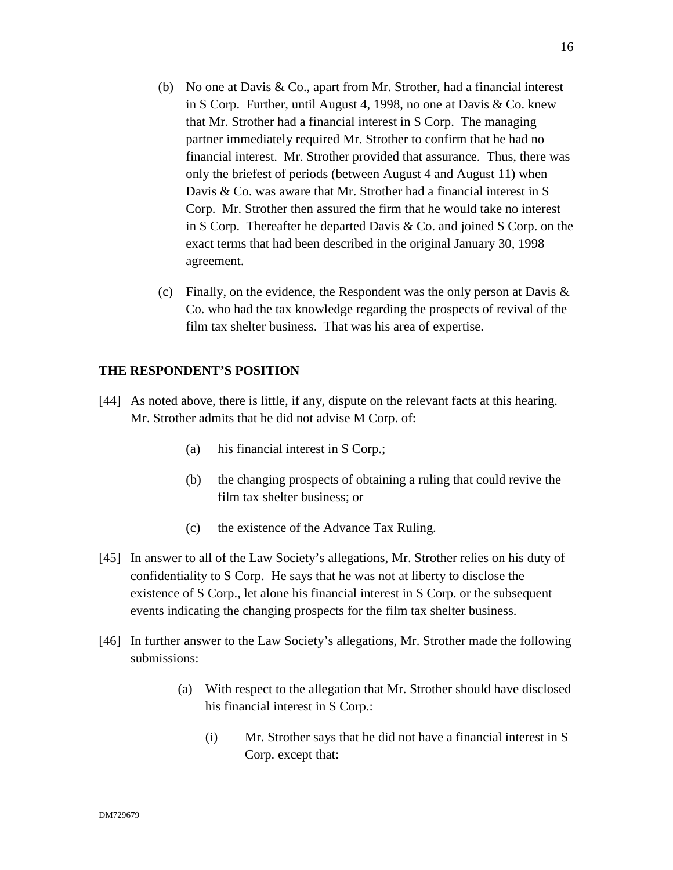- (b) No one at Davis & Co., apart from Mr. Strother, had a financial interest in S Corp. Further, until August 4, 1998, no one at Davis & Co. knew that Mr. Strother had a financial interest in S Corp. The managing partner immediately required Mr. Strother to confirm that he had no financial interest. Mr. Strother provided that assurance. Thus, there was only the briefest of periods (between August 4 and August 11) when Davis & Co. was aware that Mr. Strother had a financial interest in S Corp. Mr. Strother then assured the firm that he would take no interest in S Corp. Thereafter he departed Davis & Co. and joined S Corp. on the exact terms that had been described in the original January 30, 1998 agreement.
- (c) Finally, on the evidence, the Respondent was the only person at Davis  $\&$ Co. who had the tax knowledge regarding the prospects of revival of the film tax shelter business. That was his area of expertise.

# **THE RESPONDENT'S POSITION**

- [44] As noted above, there is little, if any, dispute on the relevant facts at this hearing. Mr. Strother admits that he did not advise M Corp. of:
	- (a) his financial interest in S Corp.;
	- (b) the changing prospects of obtaining a ruling that could revive the film tax shelter business; or
	- (c) the existence of the Advance Tax Ruling.
- [45] In answer to all of the Law Society's allegations, Mr. Strother relies on his duty of confidentiality to S Corp. He says that he was not at liberty to disclose the existence of S Corp., let alone his financial interest in S Corp. or the subsequent events indicating the changing prospects for the film tax shelter business.
- [46] In further answer to the Law Society's allegations, Mr. Strother made the following submissions:
	- (a) With respect to the allegation that Mr. Strother should have disclosed his financial interest in S Corp.:
		- (i) Mr. Strother says that he did not have a financial interest in S Corp. except that: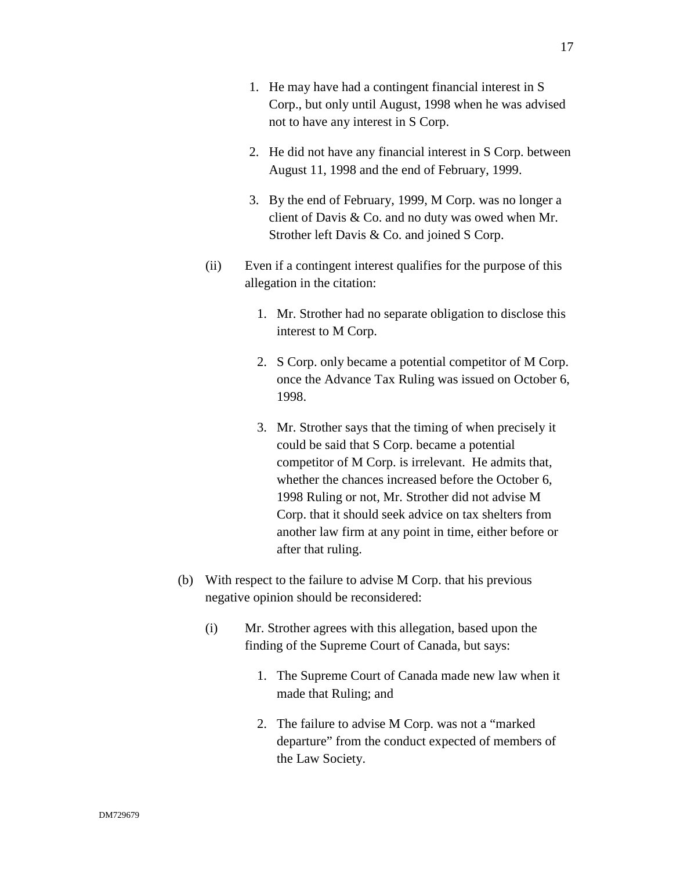- 1. He may have had a contingent financial interest in S Corp., but only until August, 1998 when he was advised not to have any interest in S Corp.
- 2. He did not have any financial interest in S Corp. between August 11, 1998 and the end of February, 1999.
- 3. By the end of February, 1999, M Corp. was no longer a client of Davis & Co. and no duty was owed when Mr. Strother left Davis & Co. and joined S Corp.
- (ii) Even if a contingent interest qualifies for the purpose of this allegation in the citation:
	- 1. Mr. Strother had no separate obligation to disclose this interest to M Corp.
	- 2. S Corp. only became a potential competitor of M Corp. once the Advance Tax Ruling was issued on October 6, 1998.
	- 3. Mr. Strother says that the timing of when precisely it could be said that S Corp. became a potential competitor of M Corp. is irrelevant. He admits that, whether the chances increased before the October 6, 1998 Ruling or not, Mr. Strother did not advise M Corp. that it should seek advice on tax shelters from another law firm at any point in time, either before or after that ruling.
- (b) With respect to the failure to advise M Corp. that his previous negative opinion should be reconsidered:
	- (i) Mr. Strother agrees with this allegation, based upon the finding of the Supreme Court of Canada, but says:
		- 1. The Supreme Court of Canada made new law when it made that Ruling; and
		- 2. The failure to advise M Corp. was not a "marked departure" from the conduct expected of members of the Law Society.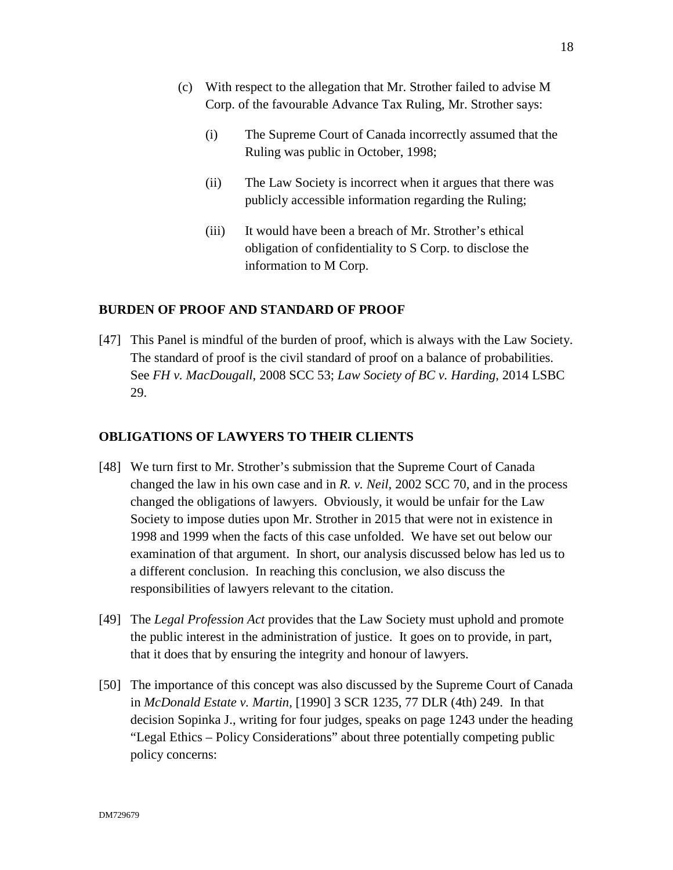- (c) With respect to the allegation that Mr. Strother failed to advise M Corp. of the favourable Advance Tax Ruling, Mr. Strother says:
	- (i) The Supreme Court of Canada incorrectly assumed that the Ruling was public in October, 1998;
	- (ii) The Law Society is incorrect when it argues that there was publicly accessible information regarding the Ruling;
	- (iii) It would have been a breach of Mr. Strother's ethical obligation of confidentiality to S Corp. to disclose the information to M Corp.

# **BURDEN OF PROOF AND STANDARD OF PROOF**

[47] This Panel is mindful of the burden of proof, which is always with the Law Society. The standard of proof is the civil standard of proof on a balance of probabilities. See *FH v. MacDougall*, 2008 SCC 53; *Law Society of BC v. Harding*, 2014 LSBC 29.

# **OBLIGATIONS OF LAWYERS TO THEIR CLIENTS**

- [48] We turn first to Mr. Strother's submission that the Supreme Court of Canada changed the law in his own case and in *R. v. Neil*, 2002 SCC 70, and in the process changed the obligations of lawyers. Obviously, it would be unfair for the Law Society to impose duties upon Mr. Strother in 2015 that were not in existence in 1998 and 1999 when the facts of this case unfolded. We have set out below our examination of that argument. In short, our analysis discussed below has led us to a different conclusion. In reaching this conclusion, we also discuss the responsibilities of lawyers relevant to the citation.
- [49] The *Legal Profession Act* provides that the Law Society must uphold and promote the public interest in the administration of justice. It goes on to provide, in part, that it does that by ensuring the integrity and honour of lawyers.
- [50] The importance of this concept was also discussed by the Supreme Court of Canada in *McDonald Estate v. Martin,* [1990] 3 SCR 1235, 77 DLR (4th) 249. In that decision Sopinka J., writing for four judges, speaks on page 1243 under the heading "Legal Ethics – Policy Considerations" about three potentially competing public policy concerns: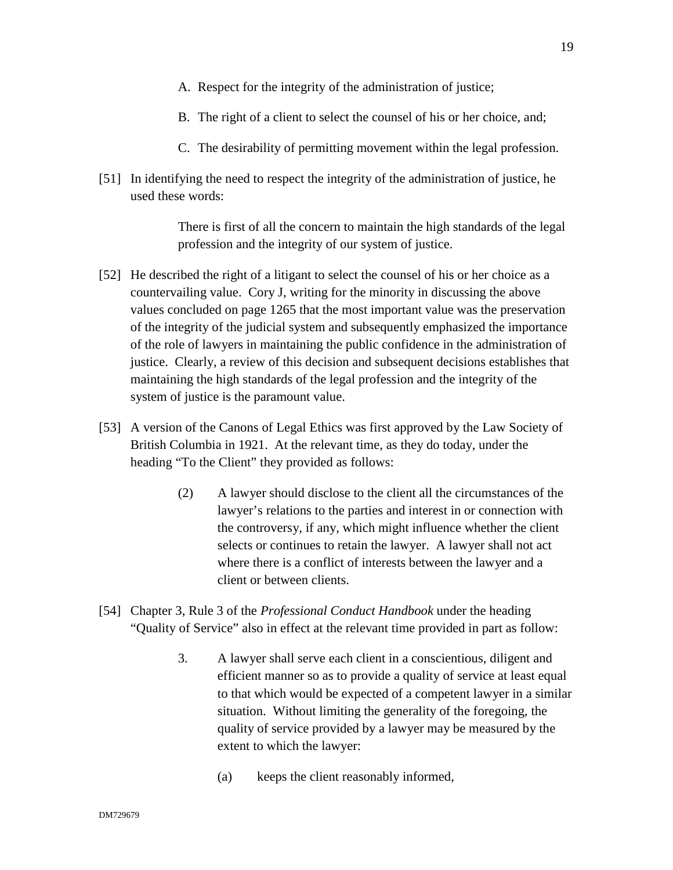- A. Respect for the integrity of the administration of justice;
- B. The right of a client to select the counsel of his or her choice, and;
- C. The desirability of permitting movement within the legal profession.
- [51] In identifying the need to respect the integrity of the administration of justice, he used these words:

There is first of all the concern to maintain the high standards of the legal profession and the integrity of our system of justice.

- [52] He described the right of a litigant to select the counsel of his or her choice as a countervailing value. Cory J, writing for the minority in discussing the above values concluded on page 1265 that the most important value was the preservation of the integrity of the judicial system and subsequently emphasized the importance of the role of lawyers in maintaining the public confidence in the administration of justice. Clearly, a review of this decision and subsequent decisions establishes that maintaining the high standards of the legal profession and the integrity of the system of justice is the paramount value.
- [53] A version of the Canons of Legal Ethics was first approved by the Law Society of British Columbia in 1921. At the relevant time, as they do today, under the heading "To the Client" they provided as follows:
	- (2) A lawyer should disclose to the client all the circumstances of the lawyer's relations to the parties and interest in or connection with the controversy, if any, which might influence whether the client selects or continues to retain the lawyer. A lawyer shall not act where there is a conflict of interests between the lawyer and a client or between clients.
- [54] Chapter 3, Rule 3 of the *Professional Conduct Handbook* under the heading "Quality of Service" also in effect at the relevant time provided in part as follow:
	- 3. A lawyer shall serve each client in a conscientious, diligent and efficient manner so as to provide a quality of service at least equal to that which would be expected of a competent lawyer in a similar situation. Without limiting the generality of the foregoing, the quality of service provided by a lawyer may be measured by the extent to which the lawyer:
		- (a) keeps the client reasonably informed,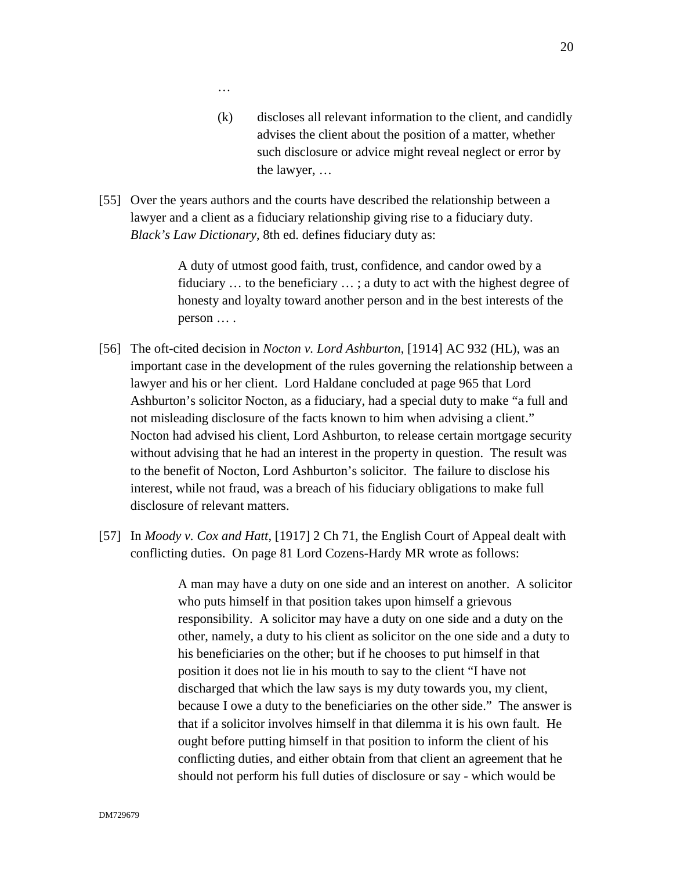…

- (k) discloses all relevant information to the client, and candidly advises the client about the position of a matter, whether such disclosure or advice might reveal neglect or error by the lawyer, …
- [55] Over the years authors and the courts have described the relationship between a lawyer and a client as a fiduciary relationship giving rise to a fiduciary duty. *Black's Law Dictionary*, 8th ed. defines fiduciary duty as:

A duty of utmost good faith, trust, confidence, and candor owed by a fiduciary … to the beneficiary … ; a duty to act with the highest degree of honesty and loyalty toward another person and in the best interests of the person … .

- [56] The oft-cited decision in *Nocton v. Lord Ashburton*, [1914] AC 932 (HL), was an important case in the development of the rules governing the relationship between a lawyer and his or her client. Lord Haldane concluded at page 965 that Lord Ashburton's solicitor Nocton, as a fiduciary, had a special duty to make "a full and not misleading disclosure of the facts known to him when advising a client." Nocton had advised his client, Lord Ashburton, to release certain mortgage security without advising that he had an interest in the property in question. The result was to the benefit of Nocton, Lord Ashburton's solicitor. The failure to disclose his interest, while not fraud, was a breach of his fiduciary obligations to make full disclosure of relevant matters.
- [57] In *Moody v. Cox and Hatt*, [1917] 2 Ch 71, the English Court of Appeal dealt with conflicting duties. On page 81 Lord Cozens-Hardy MR wrote as follows:

A man may have a duty on one side and an interest on another. A solicitor who puts himself in that position takes upon himself a grievous responsibility. A solicitor may have a duty on one side and a duty on the other, namely, a duty to his client as solicitor on the one side and a duty to his beneficiaries on the other; but if he chooses to put himself in that position it does not lie in his mouth to say to the client "I have not discharged that which the law says is my duty towards you, my client, because I owe a duty to the beneficiaries on the other side." The answer is that if a solicitor involves himself in that dilemma it is his own fault. He ought before putting himself in that position to inform the client of his conflicting duties, and either obtain from that client an agreement that he should not perform his full duties of disclosure or say - which would be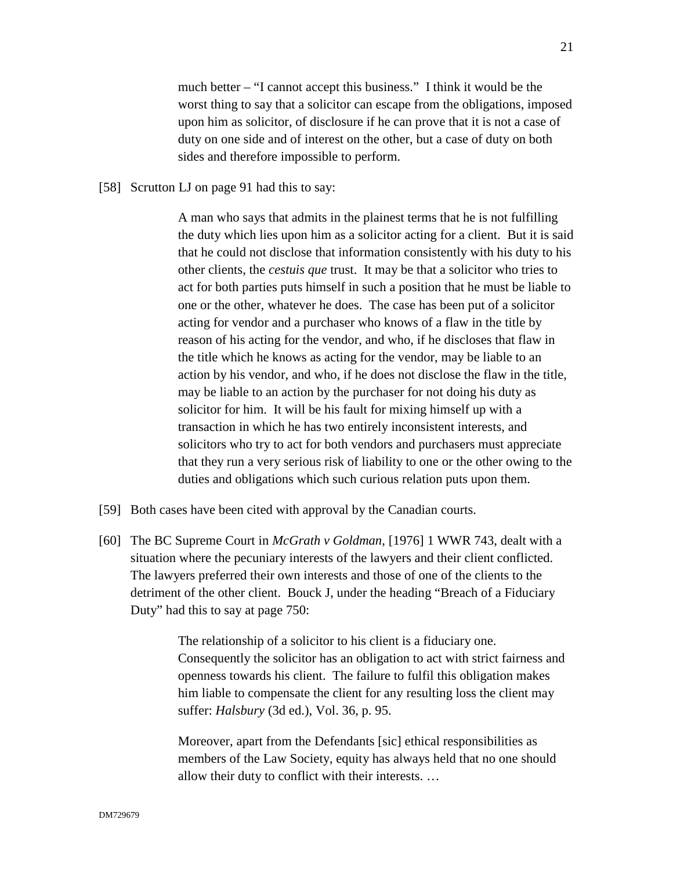much better – "I cannot accept this business." I think it would be the worst thing to say that a solicitor can escape from the obligations, imposed upon him as solicitor, of disclosure if he can prove that it is not a case of duty on one side and of interest on the other, but a case of duty on both sides and therefore impossible to perform.

[58] Scrutton LJ on page 91 had this to say:

A man who says that admits in the plainest terms that he is not fulfilling the duty which lies upon him as a solicitor acting for a client. But it is said that he could not disclose that information consistently with his duty to his other clients, the *cestuis que* trust. It may be that a solicitor who tries to act for both parties puts himself in such a position that he must be liable to one or the other, whatever he does. The case has been put of a solicitor acting for vendor and a purchaser who knows of a flaw in the title by reason of his acting for the vendor, and who, if he discloses that flaw in the title which he knows as acting for the vendor, may be liable to an action by his vendor, and who, if he does not disclose the flaw in the title, may be liable to an action by the purchaser for not doing his duty as solicitor for him. It will be his fault for mixing himself up with a transaction in which he has two entirely inconsistent interests, and solicitors who try to act for both vendors and purchasers must appreciate that they run a very serious risk of liability to one or the other owing to the duties and obligations which such curious relation puts upon them.

- [59] Both cases have been cited with approval by the Canadian courts.
- [60] The BC Supreme Court in *McGrath v Goldman*, [1976] 1 WWR 743, dealt with a situation where the pecuniary interests of the lawyers and their client conflicted. The lawyers preferred their own interests and those of one of the clients to the detriment of the other client. Bouck J, under the heading "Breach of a Fiduciary Duty" had this to say at page 750:

The relationship of a solicitor to his client is a fiduciary one. Consequently the solicitor has an obligation to act with strict fairness and openness towards his client. The failure to fulfil this obligation makes him liable to compensate the client for any resulting loss the client may suffer: *Halsbury* (3d ed.), Vol. 36, p. 95.

Moreover, apart from the Defendants [sic] ethical responsibilities as members of the Law Society, equity has always held that no one should allow their duty to conflict with their interests. …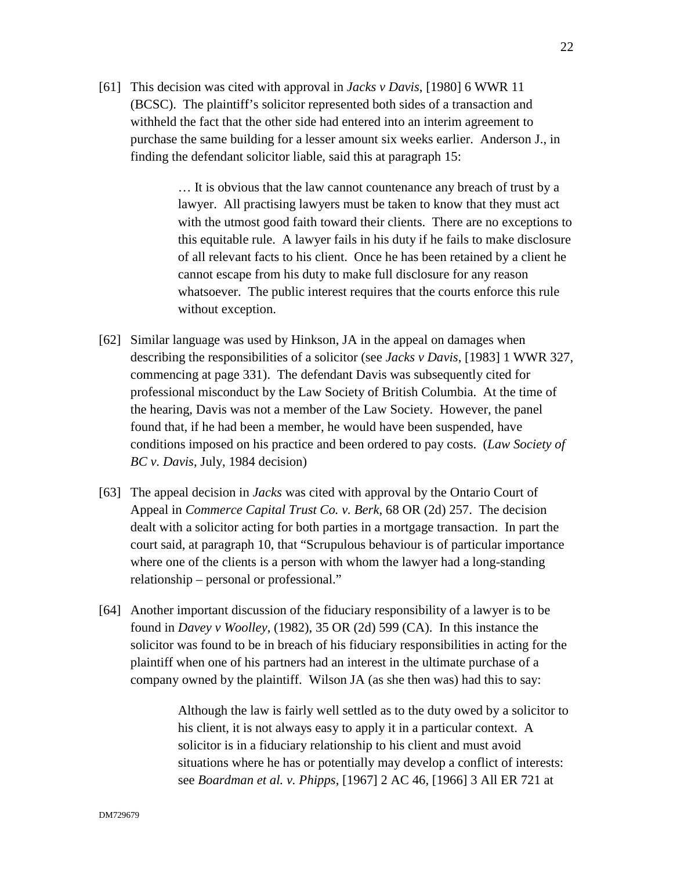[61] This decision was cited with approval in *Jacks v Davis*, [1980] 6 WWR 11 (BCSC). The plaintiff's solicitor represented both sides of a transaction and withheld the fact that the other side had entered into an interim agreement to purchase the same building for a lesser amount six weeks earlier. Anderson J., in finding the defendant solicitor liable, said this at paragraph 15:

> … It is obvious that the law cannot countenance any breach of trust by a lawyer. All practising lawyers must be taken to know that they must act with the utmost good faith toward their clients. There are no exceptions to this equitable rule. A lawyer fails in his duty if he fails to make disclosure of all relevant facts to his client. Once he has been retained by a client he cannot escape from his duty to make full disclosure for any reason whatsoever. The public interest requires that the courts enforce this rule without exception.

- [62] Similar language was used by Hinkson, JA in the appeal on damages when describing the responsibilities of a solicitor (see *Jacks v Davis*, [1983] 1 WWR 327, commencing at page 331). The defendant Davis was subsequently cited for professional misconduct by the Law Society of British Columbia. At the time of the hearing, Davis was not a member of the Law Society. However, the panel found that, if he had been a member, he would have been suspended, have conditions imposed on his practice and been ordered to pay costs. (*Law Society of BC v. Davis*, July, 1984 decision)
- [63] The appeal decision in *Jacks* was cited with approval by the Ontario Court of Appeal in *Commerce Capital Trust Co. v. Berk*, 68 OR (2d) 257. The decision dealt with a solicitor acting for both parties in a mortgage transaction. In part the court said, at paragraph 10, that "Scrupulous behaviour is of particular importance where one of the clients is a person with whom the lawyer had a long-standing relationship – personal or professional."
- [64] Another important discussion of the fiduciary responsibility of a lawyer is to be found in *Davey v Woolley*, (1982), 35 OR (2d) 599 (CA). In this instance the solicitor was found to be in breach of his fiduciary responsibilities in acting for the plaintiff when one of his partners had an interest in the ultimate purchase of a company owned by the plaintiff. Wilson JA (as she then was) had this to say:

Although the law is fairly well settled as to the duty owed by a solicitor to his client, it is not always easy to apply it in a particular context. A solicitor is in a fiduciary relationship to his client and must avoid situations where he has or potentially may develop a conflict of interests: see *Boardman et al. v. Phipps*, [1967] 2 AC 46, [1966] 3 All ER 721 at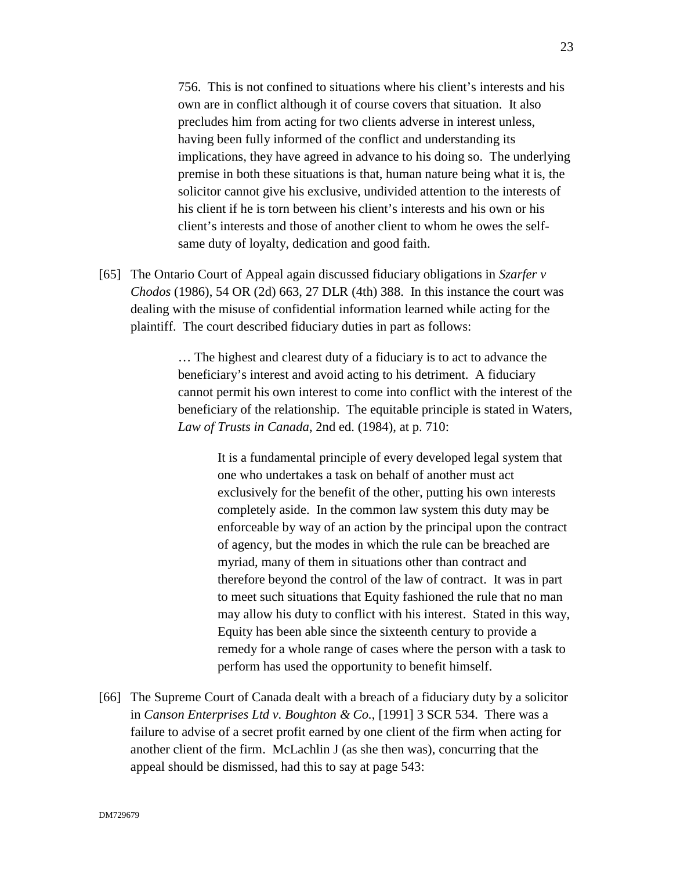756. This is not confined to situations where his client's interests and his own are in conflict although it of course covers that situation. It also precludes him from acting for two clients adverse in interest unless, having been fully informed of the conflict and understanding its implications, they have agreed in advance to his doing so. The underlying premise in both these situations is that, human nature being what it is, the solicitor cannot give his exclusive, undivided attention to the interests of his client if he is torn between his client's interests and his own or his client's interests and those of another client to whom he owes the selfsame duty of loyalty, dedication and good faith.

[65] The Ontario Court of Appeal again discussed fiduciary obligations in *Szarfer v Chodos* (1986), 54 OR (2d) 663, 27 DLR (4th) 388. In this instance the court was dealing with the misuse of confidential information learned while acting for the plaintiff. The court described fiduciary duties in part as follows:

> … The highest and clearest duty of a fiduciary is to act to advance the beneficiary's interest and avoid acting to his detriment. A fiduciary cannot permit his own interest to come into conflict with the interest of the beneficiary of the relationship. The equitable principle is stated in Waters, *Law of Trusts in Canada*, 2nd ed. (1984), at p. 710:

> > It is a fundamental principle of every developed legal system that one who undertakes a task on behalf of another must act exclusively for the benefit of the other, putting his own interests completely aside. In the common law system this duty may be enforceable by way of an action by the principal upon the contract of agency, but the modes in which the rule can be breached are myriad, many of them in situations other than contract and therefore beyond the control of the law of contract. It was in part to meet such situations that Equity fashioned the rule that no man may allow his duty to conflict with his interest. Stated in this way, Equity has been able since the sixteenth century to provide a remedy for a whole range of cases where the person with a task to perform has used the opportunity to benefit himself.

[66] The Supreme Court of Canada dealt with a breach of a fiduciary duty by a solicitor in *Canson Enterprises Ltd v. Boughton & Co.*, [1991] 3 SCR 534. There was a failure to advise of a secret profit earned by one client of the firm when acting for another client of the firm. McLachlin J (as she then was), concurring that the appeal should be dismissed, had this to say at page 543: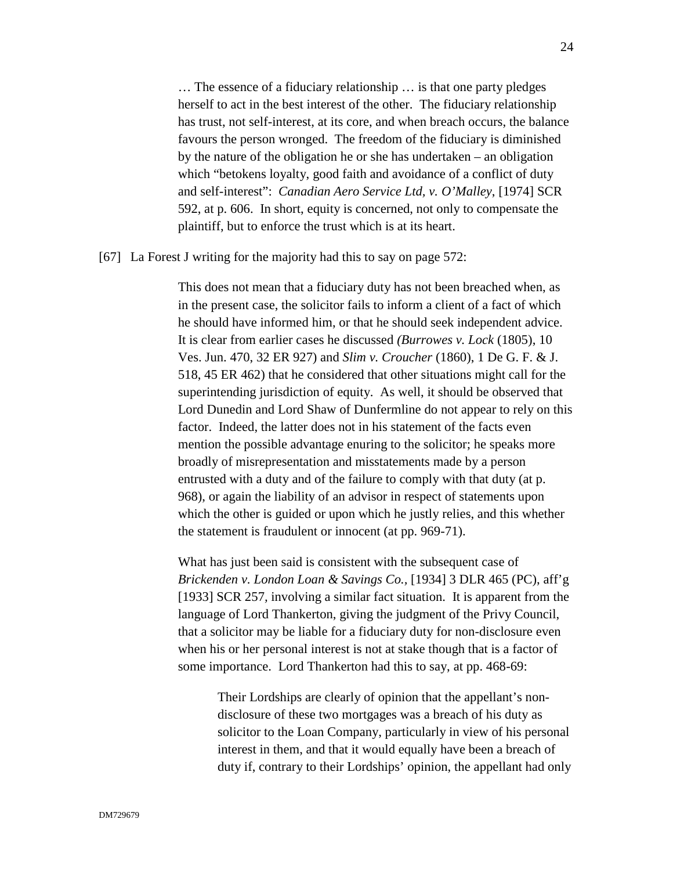… The essence of a fiduciary relationship … is that one party pledges herself to act in the best interest of the other. The fiduciary relationship has trust, not self-interest, at its core, and when breach occurs, the balance favours the person wronged. The freedom of the fiduciary is diminished by the nature of the obligation he or she has undertaken – an obligation which "betokens loyalty, good faith and avoidance of a conflict of duty and self-interest": *Canadian Aero Service Ltd, v. O'Malley*, [1974] SCR 592, at p. 606. In short, equity is concerned, not only to compensate the plaintiff, but to enforce the trust which is at its heart.

[67] La Forest J writing for the majority had this to say on page 572:

This does not mean that a fiduciary duty has not been breached when, as in the present case, the solicitor fails to inform a client of a fact of which he should have informed him, or that he should seek independent advice. It is clear from earlier cases he discussed *(Burrowes v. Lock* (1805), 10 Ves. Jun. 470, 32 ER 927) and *Slim v. Croucher* (1860), 1 De G. F. & J. 518, 45 ER 462) that he considered that other situations might call for the superintending jurisdiction of equity. As well, it should be observed that Lord Dunedin and Lord Shaw of Dunfermline do not appear to rely on this factor. Indeed, the latter does not in his statement of the facts even mention the possible advantage enuring to the solicitor; he speaks more broadly of misrepresentation and misstatements made by a person entrusted with a duty and of the failure to comply with that duty (at p. 968), or again the liability of an advisor in respect of statements upon which the other is guided or upon which he justly relies, and this whether the statement is fraudulent or innocent (at pp. 969-71).

What has just been said is consistent with the subsequent case of *Brickenden v. London Loan & Savings Co.,* [1934] 3 DLR 465 (PC), aff'g [1933] SCR 257*,* involving a similar fact situation. It is apparent from the language of Lord Thankerton, giving the judgment of the Privy Council, that a solicitor may be liable for a fiduciary duty for non-disclosure even when his or her personal interest is not at stake though that is a factor of some importance. Lord Thankerton had this to say, at pp. 468-69:

Their Lordships are clearly of opinion that the appellant's nondisclosure of these two mortgages was a breach of his duty as solicitor to the Loan Company, particularly in view of his personal interest in them, and that it would equally have been a breach of duty if, contrary to their Lordships' opinion, the appellant had only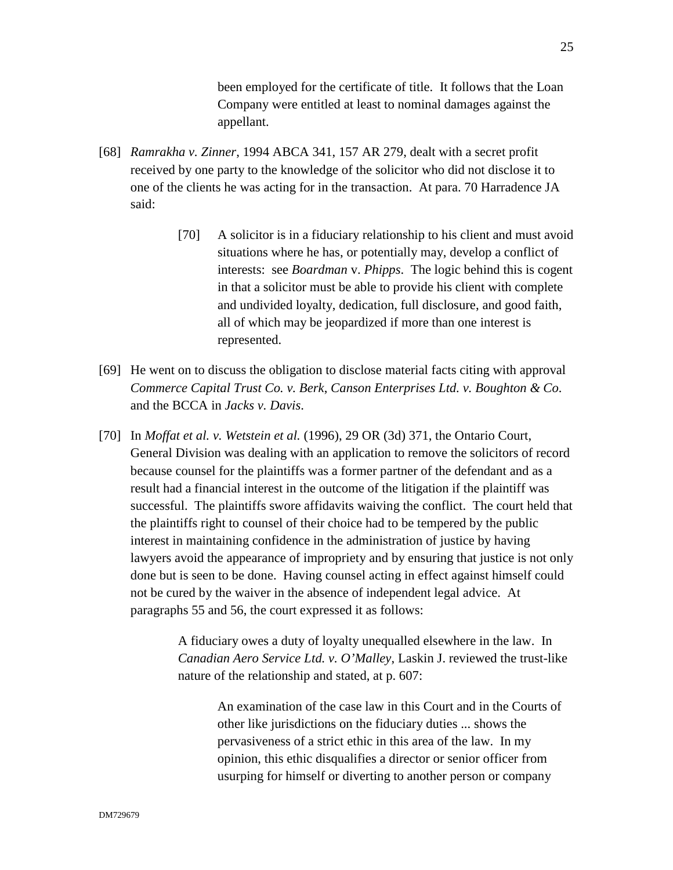been employed for the certificate of title. It follows that the Loan Company were entitled at least to nominal damages against the appellant.

- [68] *Ramrakha v. Zinner*, 1994 ABCA 341, 157 AR 279, dealt with a secret profit received by one party to the knowledge of the solicitor who did not disclose it to one of the clients he was acting for in the transaction. At para. 70 Harradence JA said:
	- [70] A solicitor is in a fiduciary relationship to his client and must avoid situations where he has, or potentially may, develop a conflict of interests: see *Boardman* v. *Phipps*. The logic behind this is cogent in that a solicitor must be able to provide his client with complete and undivided loyalty, dedication, full disclosure, and good faith, all of which may be jeopardized if more than one interest is represented.
- [69] He went on to discuss the obligation to disclose material facts citing with approval *Commerce Capital Trust Co. v. Berk*, *Canson Enterprises Ltd. v. Boughton & Co.* and the BCCA in *Jacks v. Davis*.
- [70] In *Moffat et al. v. Wetstein et al.* (1996), 29 OR (3d) 371, the Ontario Court, General Division was dealing with an application to remove the solicitors of record because counsel for the plaintiffs was a former partner of the defendant and as a result had a financial interest in the outcome of the litigation if the plaintiff was successful. The plaintiffs swore affidavits waiving the conflict. The court held that the plaintiffs right to counsel of their choice had to be tempered by the public interest in maintaining confidence in the administration of justice by having lawyers avoid the appearance of impropriety and by ensuring that justice is not only done but is seen to be done. Having counsel acting in effect against himself could not be cured by the waiver in the absence of independent legal advice. At paragraphs 55 and 56, the court expressed it as follows:

A fiduciary owes a duty of loyalty unequalled elsewhere in the law. In *Canadian Aero Service Ltd. v. O'Malley*, Laskin J. reviewed the trust-like nature of the relationship and stated, at p. 607:

An examination of the case law in this Court and in the Courts of other like jurisdictions on the fiduciary duties ... shows the pervasiveness of a strict ethic in this area of the law. In my opinion, this ethic disqualifies a director or senior officer from usurping for himself or diverting to another person or company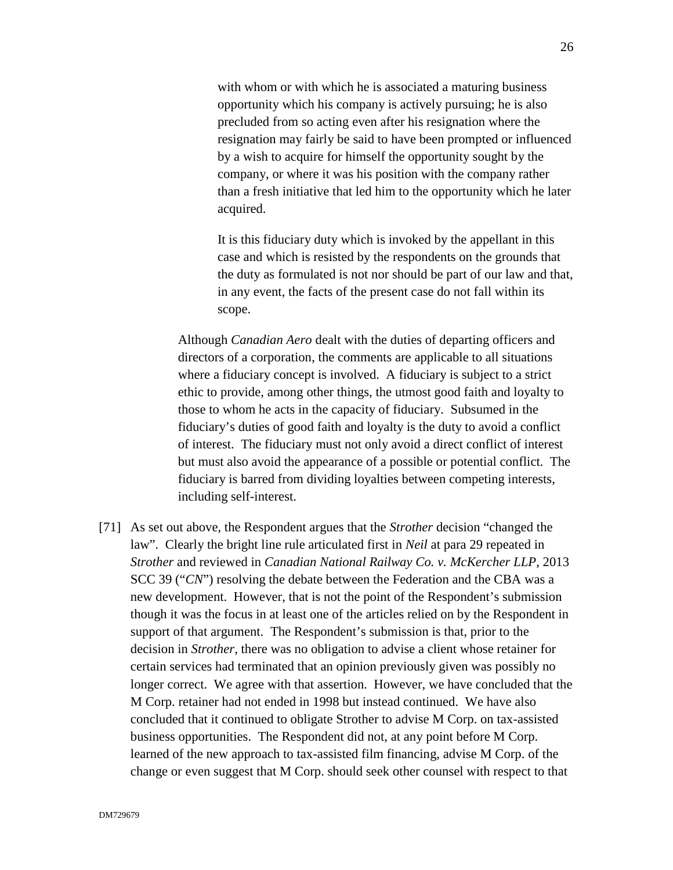with whom or with which he is associated a maturing business opportunity which his company is actively pursuing; he is also precluded from so acting even after his resignation where the resignation may fairly be said to have been prompted or influenced by a wish to acquire for himself the opportunity sought by the company, or where it was his position with the company rather than a fresh initiative that led him to the opportunity which he later acquired.

It is this fiduciary duty which is invoked by the appellant in this case and which is resisted by the respondents on the grounds that the duty as formulated is not nor should be part of our law and that, in any event, the facts of the present case do not fall within its scope.

Although *Canadian Aero* dealt with the duties of departing officers and directors of a corporation, the comments are applicable to all situations where a fiduciary concept is involved. A fiduciary is subject to a strict ethic to provide, among other things, the utmost good faith and loyalty to those to whom he acts in the capacity of fiduciary. Subsumed in the fiduciary's duties of good faith and loyalty is the duty to avoid a conflict of interest. The fiduciary must not only avoid a direct conflict of interest but must also avoid the appearance of a possible or potential conflict. The fiduciary is barred from dividing loyalties between competing interests, including self-interest.

[71] As set out above, the Respondent argues that the *Strother* decision "changed the law". Clearly the bright line rule articulated first in *Neil* at para 29 repeated in *Strother* and reviewed in *Canadian National Railway Co. v. McKercher LLP*, 2013 SCC 39 ("*CN*") resolving the debate between the Federation and the CBA was a new development. However, that is not the point of the Respondent's submission though it was the focus in at least one of the articles relied on by the Respondent in support of that argument. The Respondent's submission is that, prior to the decision in *Strother*, there was no obligation to advise a client whose retainer for certain services had terminated that an opinion previously given was possibly no longer correct. We agree with that assertion. However, we have concluded that the M Corp. retainer had not ended in 1998 but instead continued. We have also concluded that it continued to obligate Strother to advise M Corp. on tax-assisted business opportunities. The Respondent did not, at any point before M Corp. learned of the new approach to tax-assisted film financing, advise M Corp. of the change or even suggest that M Corp. should seek other counsel with respect to that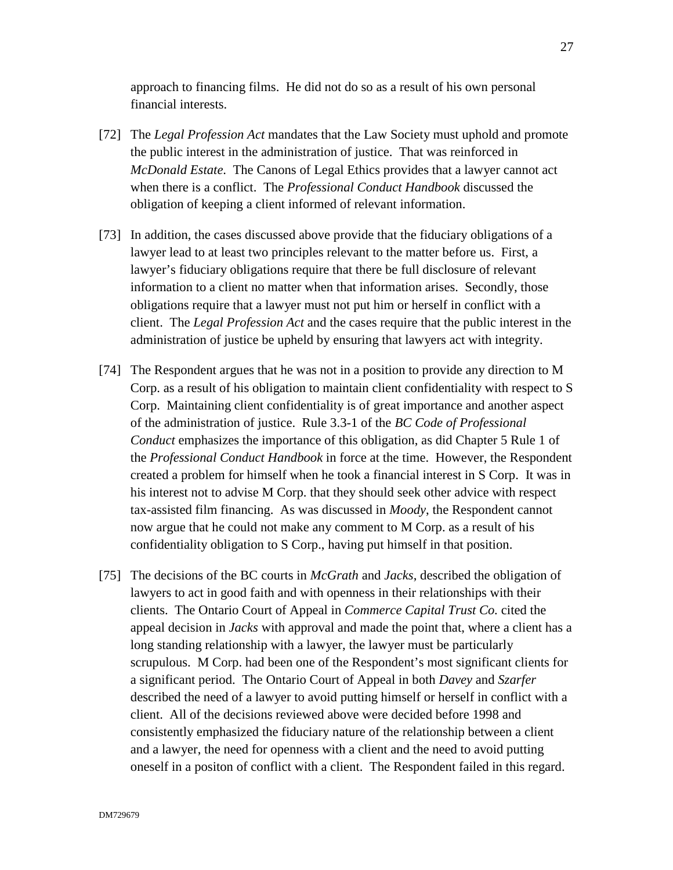approach to financing films. He did not do so as a result of his own personal financial interests.

- [72] The *Legal Profession Act* mandates that the Law Society must uphold and promote the public interest in the administration of justice. That was reinforced in *McDonald Estate*. The Canons of Legal Ethics provides that a lawyer cannot act when there is a conflict. The *Professional Conduct Handbook* discussed the obligation of keeping a client informed of relevant information.
- [73] In addition, the cases discussed above provide that the fiduciary obligations of a lawyer lead to at least two principles relevant to the matter before us. First, a lawyer's fiduciary obligations require that there be full disclosure of relevant information to a client no matter when that information arises. Secondly, those obligations require that a lawyer must not put him or herself in conflict with a client. The *Legal Profession Act* and the cases require that the public interest in the administration of justice be upheld by ensuring that lawyers act with integrity.
- [74] The Respondent argues that he was not in a position to provide any direction to M Corp. as a result of his obligation to maintain client confidentiality with respect to S Corp. Maintaining client confidentiality is of great importance and another aspect of the administration of justice. Rule 3.3-1 of the *BC Code of Professional Conduct* emphasizes the importance of this obligation, as did Chapter 5 Rule 1 of the *Professional Conduct Handbook* in force at the time. However, the Respondent created a problem for himself when he took a financial interest in S Corp. It was in his interest not to advise M Corp. that they should seek other advice with respect tax-assisted film financing. As was discussed in *Moody*, the Respondent cannot now argue that he could not make any comment to M Corp. as a result of his confidentiality obligation to S Corp., having put himself in that position.
- [75] The decisions of the BC courts in *McGrath* and *Jacks*, described the obligation of lawyers to act in good faith and with openness in their relationships with their clients. The Ontario Court of Appeal in *Commerce Capital Trust Co.* cited the appeal decision in *Jacks* with approval and made the point that, where a client has a long standing relationship with a lawyer, the lawyer must be particularly scrupulous. M Corp. had been one of the Respondent's most significant clients for a significant period. The Ontario Court of Appeal in both *Davey* and *Szarfer* described the need of a lawyer to avoid putting himself or herself in conflict with a client. All of the decisions reviewed above were decided before 1998 and consistently emphasized the fiduciary nature of the relationship between a client and a lawyer, the need for openness with a client and the need to avoid putting oneself in a positon of conflict with a client. The Respondent failed in this regard.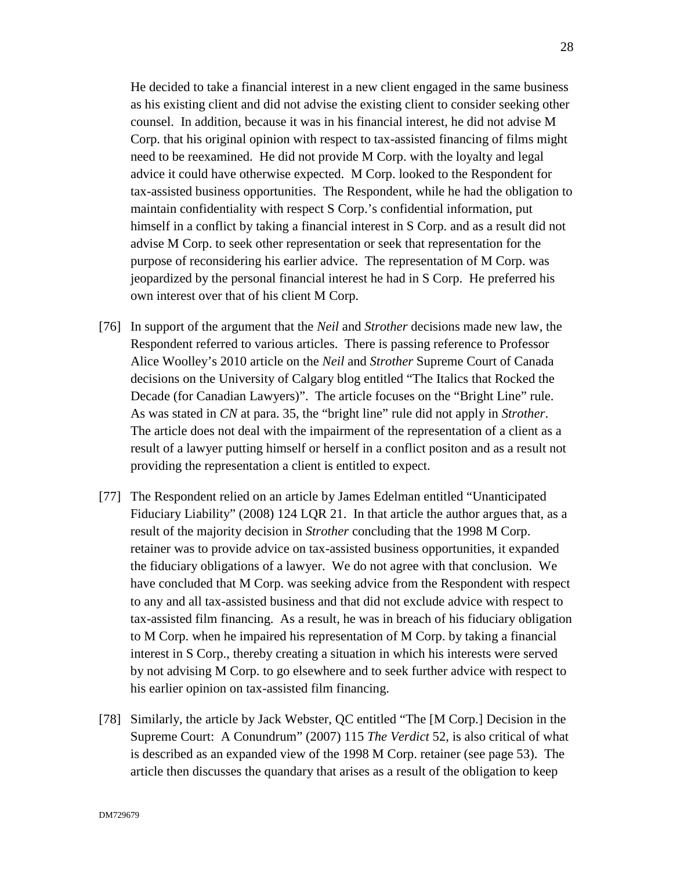He decided to take a financial interest in a new client engaged in the same business as his existing client and did not advise the existing client to consider seeking other counsel. In addition, because it was in his financial interest, he did not advise M Corp. that his original opinion with respect to tax-assisted financing of films might need to be reexamined. He did not provide M Corp. with the loyalty and legal advice it could have otherwise expected. M Corp. looked to the Respondent for tax-assisted business opportunities. The Respondent, while he had the obligation to maintain confidentiality with respect S Corp.'s confidential information, put himself in a conflict by taking a financial interest in S Corp. and as a result did not advise M Corp. to seek other representation or seek that representation for the purpose of reconsidering his earlier advice. The representation of M Corp. was jeopardized by the personal financial interest he had in S Corp. He preferred his own interest over that of his client M Corp.

- [76] In support of the argument that the *Neil* and *Strother* decisions made new law, the Respondent referred to various articles. There is passing reference to Professor Alice Woolley's 2010 article on the *Neil* and *Strother* Supreme Court of Canada decisions on the University of Calgary blog entitled "The Italics that Rocked the Decade (for Canadian Lawyers)". The article focuses on the "Bright Line" rule. As was stated in *CN* at para. 35, the "bright line" rule did not apply in *Strother*. The article does not deal with the impairment of the representation of a client as a result of a lawyer putting himself or herself in a conflict positon and as a result not providing the representation a client is entitled to expect.
- [77] The Respondent relied on an article by James Edelman entitled "Unanticipated Fiduciary Liability" (2008) 124 LQR 21. In that article the author argues that, as a result of the majority decision in *Strother* concluding that the 1998 M Corp. retainer was to provide advice on tax-assisted business opportunities, it expanded the fiduciary obligations of a lawyer. We do not agree with that conclusion. We have concluded that M Corp. was seeking advice from the Respondent with respect to any and all tax-assisted business and that did not exclude advice with respect to tax-assisted film financing. As a result, he was in breach of his fiduciary obligation to M Corp. when he impaired his representation of M Corp. by taking a financial interest in S Corp., thereby creating a situation in which his interests were served by not advising M Corp. to go elsewhere and to seek further advice with respect to his earlier opinion on tax-assisted film financing.
- [78] Similarly, the article by Jack Webster, QC entitled "The [M Corp.] Decision in the Supreme Court: A Conundrum" (2007) 115 *The Verdict* 52, is also critical of what is described as an expanded view of the 1998 M Corp. retainer (see page 53). The article then discusses the quandary that arises as a result of the obligation to keep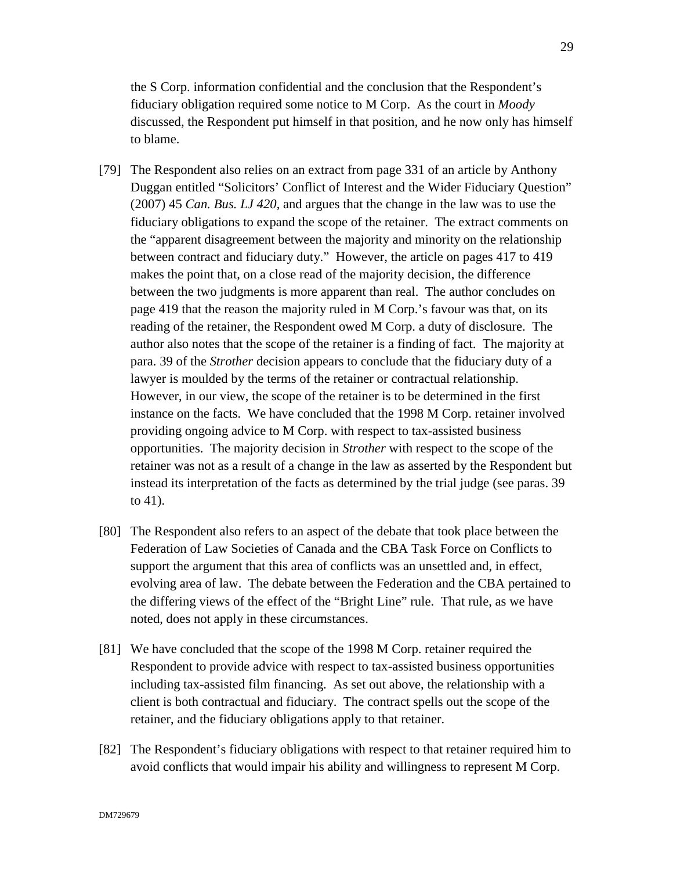the S Corp. information confidential and the conclusion that the Respondent's fiduciary obligation required some notice to M Corp. As the court in *Moody* discussed, the Respondent put himself in that position, and he now only has himself to blame.

- [79] The Respondent also relies on an extract from page 331 of an article by Anthony Duggan entitled "Solicitors' Conflict of Interest and the Wider Fiduciary Question" (2007) 45 *Can. Bus. LJ 420*, and argues that the change in the law was to use the fiduciary obligations to expand the scope of the retainer. The extract comments on the "apparent disagreement between the majority and minority on the relationship between contract and fiduciary duty." However, the article on pages 417 to 419 makes the point that, on a close read of the majority decision, the difference between the two judgments is more apparent than real. The author concludes on page 419 that the reason the majority ruled in M Corp.'s favour was that, on its reading of the retainer, the Respondent owed M Corp. a duty of disclosure. The author also notes that the scope of the retainer is a finding of fact. The majority at para. 39 of the *Strother* decision appears to conclude that the fiduciary duty of a lawyer is moulded by the terms of the retainer or contractual relationship. However, in our view, the scope of the retainer is to be determined in the first instance on the facts. We have concluded that the 1998 M Corp. retainer involved providing ongoing advice to M Corp. with respect to tax-assisted business opportunities. The majority decision in *Strother* with respect to the scope of the retainer was not as a result of a change in the law as asserted by the Respondent but instead its interpretation of the facts as determined by the trial judge (see paras. 39 to 41).
- [80] The Respondent also refers to an aspect of the debate that took place between the Federation of Law Societies of Canada and the CBA Task Force on Conflicts to support the argument that this area of conflicts was an unsettled and, in effect, evolving area of law. The debate between the Federation and the CBA pertained to the differing views of the effect of the "Bright Line" rule. That rule, as we have noted, does not apply in these circumstances.
- [81] We have concluded that the scope of the 1998 M Corp. retainer required the Respondent to provide advice with respect to tax-assisted business opportunities including tax-assisted film financing. As set out above, the relationship with a client is both contractual and fiduciary. The contract spells out the scope of the retainer, and the fiduciary obligations apply to that retainer.
- [82] The Respondent's fiduciary obligations with respect to that retainer required him to avoid conflicts that would impair his ability and willingness to represent M Corp.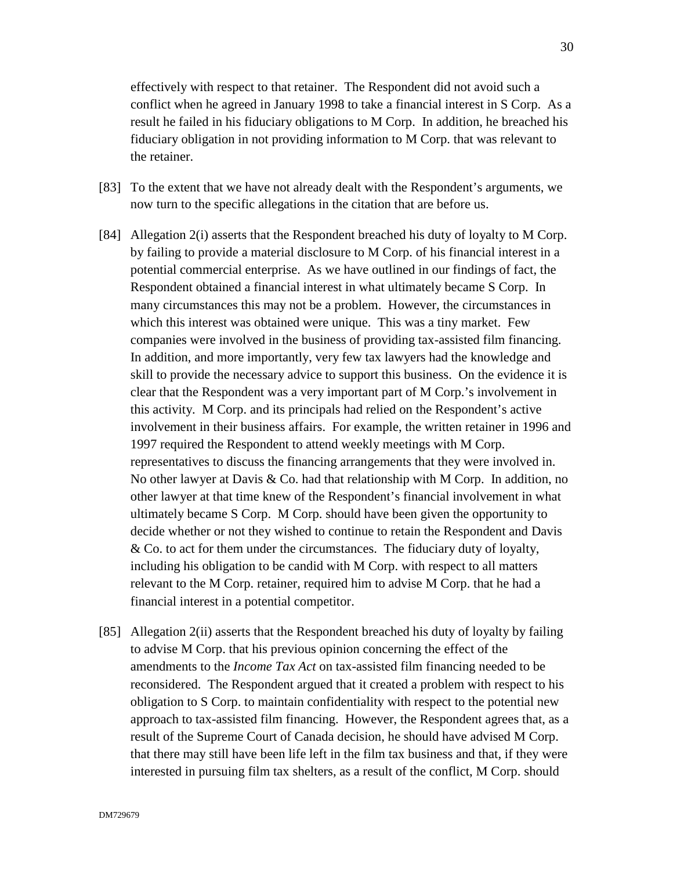effectively with respect to that retainer. The Respondent did not avoid such a conflict when he agreed in January 1998 to take a financial interest in S Corp. As a result he failed in his fiduciary obligations to M Corp. In addition, he breached his fiduciary obligation in not providing information to M Corp. that was relevant to the retainer.

- [83] To the extent that we have not already dealt with the Respondent's arguments, we now turn to the specific allegations in the citation that are before us.
- [84] Allegation 2(i) asserts that the Respondent breached his duty of loyalty to M Corp. by failing to provide a material disclosure to M Corp. of his financial interest in a potential commercial enterprise. As we have outlined in our findings of fact, the Respondent obtained a financial interest in what ultimately became S Corp. In many circumstances this may not be a problem. However, the circumstances in which this interest was obtained were unique. This was a tiny market. Few companies were involved in the business of providing tax-assisted film financing. In addition, and more importantly, very few tax lawyers had the knowledge and skill to provide the necessary advice to support this business. On the evidence it is clear that the Respondent was a very important part of M Corp.'s involvement in this activity. M Corp. and its principals had relied on the Respondent's active involvement in their business affairs. For example, the written retainer in 1996 and 1997 required the Respondent to attend weekly meetings with M Corp. representatives to discuss the financing arrangements that they were involved in. No other lawyer at Davis & Co. had that relationship with M Corp. In addition, no other lawyer at that time knew of the Respondent's financial involvement in what ultimately became S Corp. M Corp. should have been given the opportunity to decide whether or not they wished to continue to retain the Respondent and Davis & Co. to act for them under the circumstances. The fiduciary duty of loyalty, including his obligation to be candid with M Corp. with respect to all matters relevant to the M Corp. retainer, required him to advise M Corp. that he had a financial interest in a potential competitor.
- [85] Allegation 2(ii) asserts that the Respondent breached his duty of loyalty by failing to advise M Corp. that his previous opinion concerning the effect of the amendments to the *Income Tax Act* on tax-assisted film financing needed to be reconsidered. The Respondent argued that it created a problem with respect to his obligation to S Corp. to maintain confidentiality with respect to the potential new approach to tax-assisted film financing. However, the Respondent agrees that, as a result of the Supreme Court of Canada decision, he should have advised M Corp. that there may still have been life left in the film tax business and that, if they were interested in pursuing film tax shelters, as a result of the conflict, M Corp. should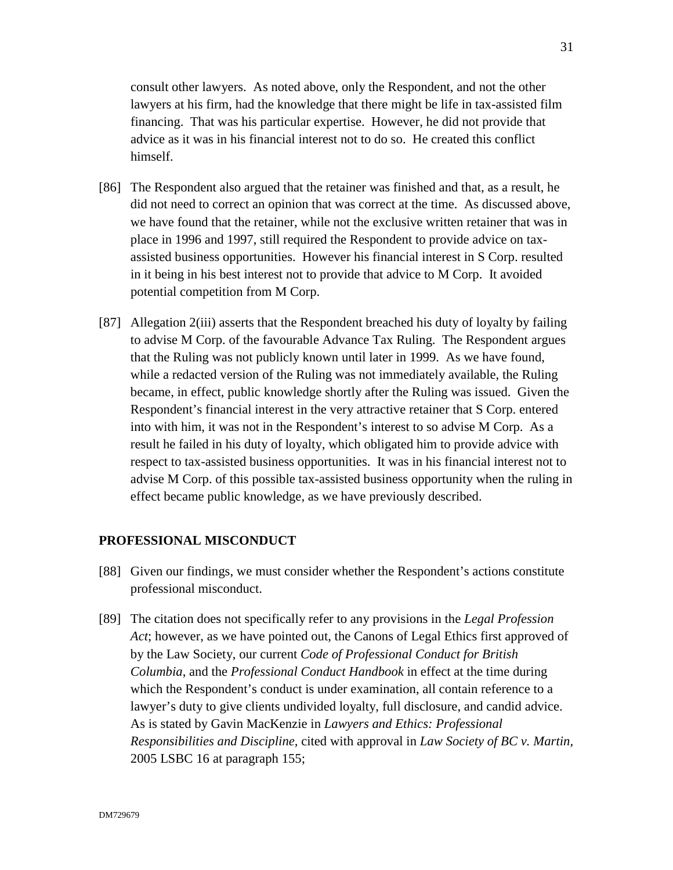consult other lawyers. As noted above, only the Respondent, and not the other lawyers at his firm, had the knowledge that there might be life in tax-assisted film financing. That was his particular expertise. However, he did not provide that advice as it was in his financial interest not to do so. He created this conflict himself.

- [86] The Respondent also argued that the retainer was finished and that, as a result, he did not need to correct an opinion that was correct at the time. As discussed above, we have found that the retainer, while not the exclusive written retainer that was in place in 1996 and 1997, still required the Respondent to provide advice on taxassisted business opportunities. However his financial interest in S Corp. resulted in it being in his best interest not to provide that advice to M Corp. It avoided potential competition from M Corp.
- [87] Allegation 2(iii) asserts that the Respondent breached his duty of loyalty by failing to advise M Corp. of the favourable Advance Tax Ruling. The Respondent argues that the Ruling was not publicly known until later in 1999. As we have found, while a redacted version of the Ruling was not immediately available, the Ruling became, in effect, public knowledge shortly after the Ruling was issued. Given the Respondent's financial interest in the very attractive retainer that S Corp. entered into with him, it was not in the Respondent's interest to so advise M Corp. As a result he failed in his duty of loyalty, which obligated him to provide advice with respect to tax-assisted business opportunities. It was in his financial interest not to advise M Corp. of this possible tax-assisted business opportunity when the ruling in effect became public knowledge, as we have previously described.

#### **PROFESSIONAL MISCONDUCT**

- [88] Given our findings, we must consider whether the Respondent's actions constitute professional misconduct.
- [89] The citation does not specifically refer to any provisions in the *Legal Profession Act*; however, as we have pointed out, the Canons of Legal Ethics first approved of by the Law Society, our current *Code of Professional Conduct for British Columbia*, and the *Professional Conduct Handbook* in effect at the time during which the Respondent's conduct is under examination, all contain reference to a lawyer's duty to give clients undivided loyalty, full disclosure, and candid advice. As is stated by Gavin MacKenzie in *Lawyers and Ethics: Professional Responsibilities and Discipline,* cited with approval in *Law Society of BC v. Martin,*  2005 LSBC 16 at paragraph 155;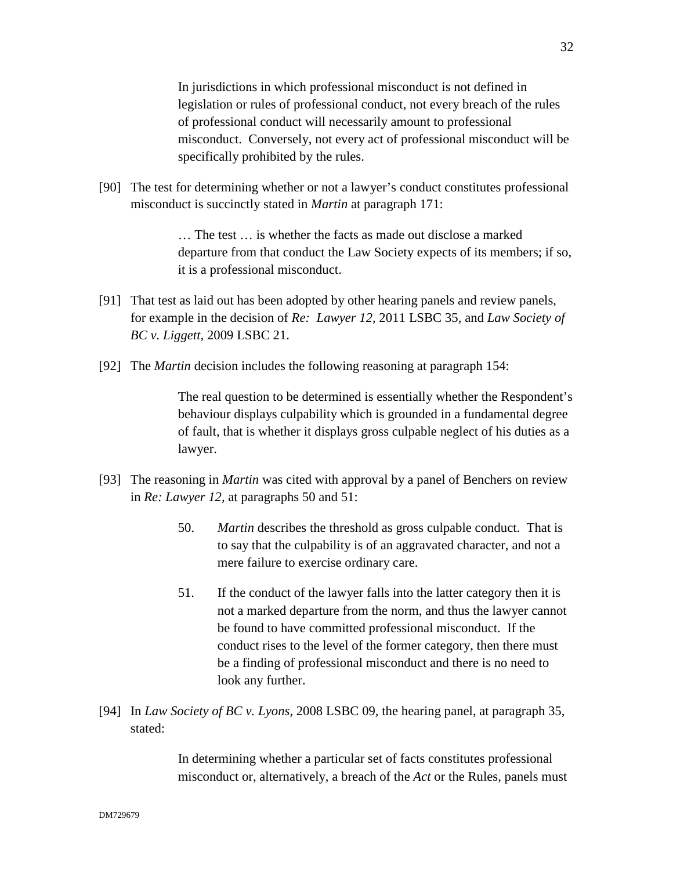In jurisdictions in which professional misconduct is not defined in legislation or rules of professional conduct, not every breach of the rules of professional conduct will necessarily amount to professional misconduct. Conversely, not every act of professional misconduct will be specifically prohibited by the rules.

[90] The test for determining whether or not a lawyer's conduct constitutes professional misconduct is succinctly stated in *Martin* at paragraph 171:

> … The test … is whether the facts as made out disclose a marked departure from that conduct the Law Society expects of its members; if so, it is a professional misconduct.

- [91] That test as laid out has been adopted by other hearing panels and review panels, for example in the decision of *Re: Lawyer 12,* 2011 LSBC 35*,* and *Law Society of BC v. Liggett,* 2009 LSBC 21.
- [92] The *Martin* decision includes the following reasoning at paragraph 154:

The real question to be determined is essentially whether the Respondent's behaviour displays culpability which is grounded in a fundamental degree of fault, that is whether it displays gross culpable neglect of his duties as a lawyer.

- [93] The reasoning in *Martin* was cited with approval by a panel of Benchers on review in *Re: Lawyer 12,* at paragraphs 50 and 51:
	- 50. *Martin* describes the threshold as gross culpable conduct. That is to say that the culpability is of an aggravated character, and not a mere failure to exercise ordinary care.
	- 51. If the conduct of the lawyer falls into the latter category then it is not a marked departure from the norm, and thus the lawyer cannot be found to have committed professional misconduct. If the conduct rises to the level of the former category, then there must be a finding of professional misconduct and there is no need to look any further.
- [94] In *Law Society of BC v. Lyons,* 2008 LSBC 09*,* the hearing panel, at paragraph 35, stated:

In determining whether a particular set of facts constitutes professional misconduct or, alternatively, a breach of the *Act* or the Rules, panels must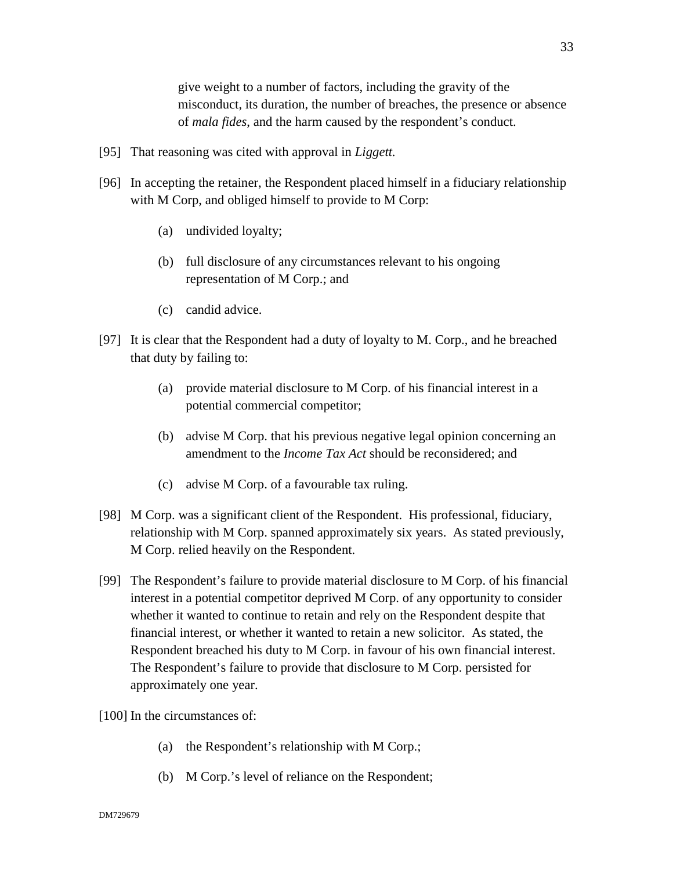give weight to a number of factors, including the gravity of the misconduct, its duration, the number of breaches, the presence or absence of *mala fides*, and the harm caused by the respondent's conduct.

- [95] That reasoning was cited with approval in *Liggett.*
- [96] In accepting the retainer, the Respondent placed himself in a fiduciary relationship with M Corp, and obliged himself to provide to M Corp:
	- (a) undivided loyalty;
	- (b) full disclosure of any circumstances relevant to his ongoing representation of M Corp.; and
	- (c) candid advice.
- [97] It is clear that the Respondent had a duty of loyalty to M. Corp., and he breached that duty by failing to:
	- (a) provide material disclosure to M Corp. of his financial interest in a potential commercial competitor;
	- (b) advise M Corp. that his previous negative legal opinion concerning an amendment to the *Income Tax Act* should be reconsidered; and
	- (c) advise M Corp. of a favourable tax ruling.
- [98] M Corp. was a significant client of the Respondent. His professional, fiduciary, relationship with M Corp. spanned approximately six years. As stated previously, M Corp. relied heavily on the Respondent.
- [99] The Respondent's failure to provide material disclosure to M Corp. of his financial interest in a potential competitor deprived M Corp. of any opportunity to consider whether it wanted to continue to retain and rely on the Respondent despite that financial interest, or whether it wanted to retain a new solicitor. As stated, the Respondent breached his duty to M Corp. in favour of his own financial interest. The Respondent's failure to provide that disclosure to M Corp. persisted for approximately one year.
- [100] In the circumstances of:
	- (a) the Respondent's relationship with M Corp.;
	- (b) M Corp.'s level of reliance on the Respondent;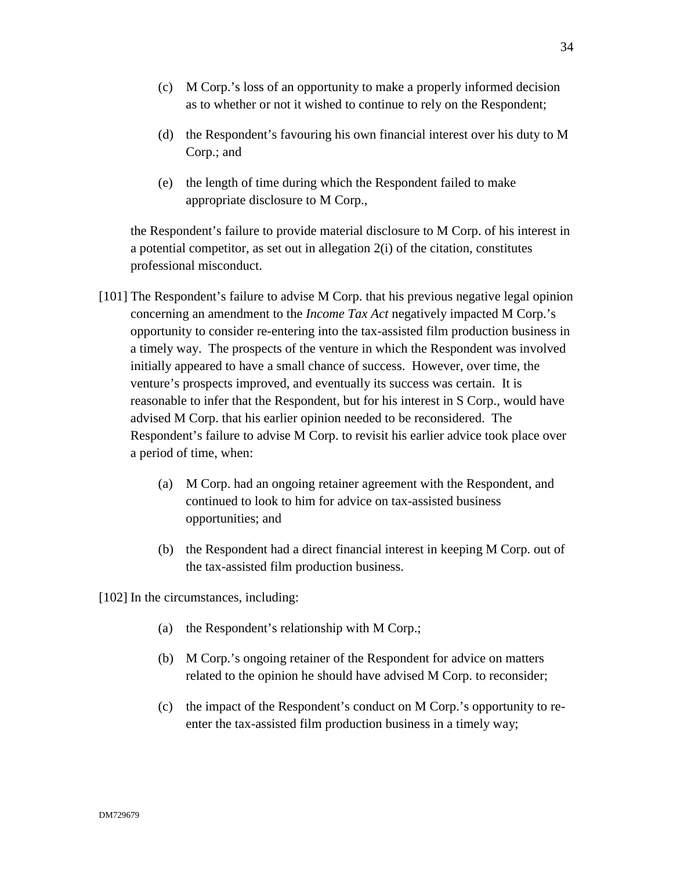- (c) M Corp.'s loss of an opportunity to make a properly informed decision as to whether or not it wished to continue to rely on the Respondent;
- (d) the Respondent's favouring his own financial interest over his duty to M Corp.; and
- (e) the length of time during which the Respondent failed to make appropriate disclosure to M Corp.,

the Respondent's failure to provide material disclosure to M Corp. of his interest in a potential competitor, as set out in allegation 2(i) of the citation, constitutes professional misconduct.

- [101] The Respondent's failure to advise M Corp. that his previous negative legal opinion concerning an amendment to the *Income Tax Act* negatively impacted M Corp.'s opportunity to consider re-entering into the tax-assisted film production business in a timely way. The prospects of the venture in which the Respondent was involved initially appeared to have a small chance of success. However, over time, the venture's prospects improved, and eventually its success was certain. It is reasonable to infer that the Respondent, but for his interest in S Corp., would have advised M Corp. that his earlier opinion needed to be reconsidered. The Respondent's failure to advise M Corp. to revisit his earlier advice took place over a period of time, when:
	- (a) M Corp. had an ongoing retainer agreement with the Respondent, and continued to look to him for advice on tax-assisted business opportunities; and
	- (b) the Respondent had a direct financial interest in keeping M Corp. out of the tax-assisted film production business.

[102] In the circumstances, including:

- (a) the Respondent's relationship with M Corp.;
- (b) M Corp.'s ongoing retainer of the Respondent for advice on matters related to the opinion he should have advised M Corp. to reconsider;
- (c) the impact of the Respondent's conduct on M Corp.'s opportunity to reenter the tax-assisted film production business in a timely way;